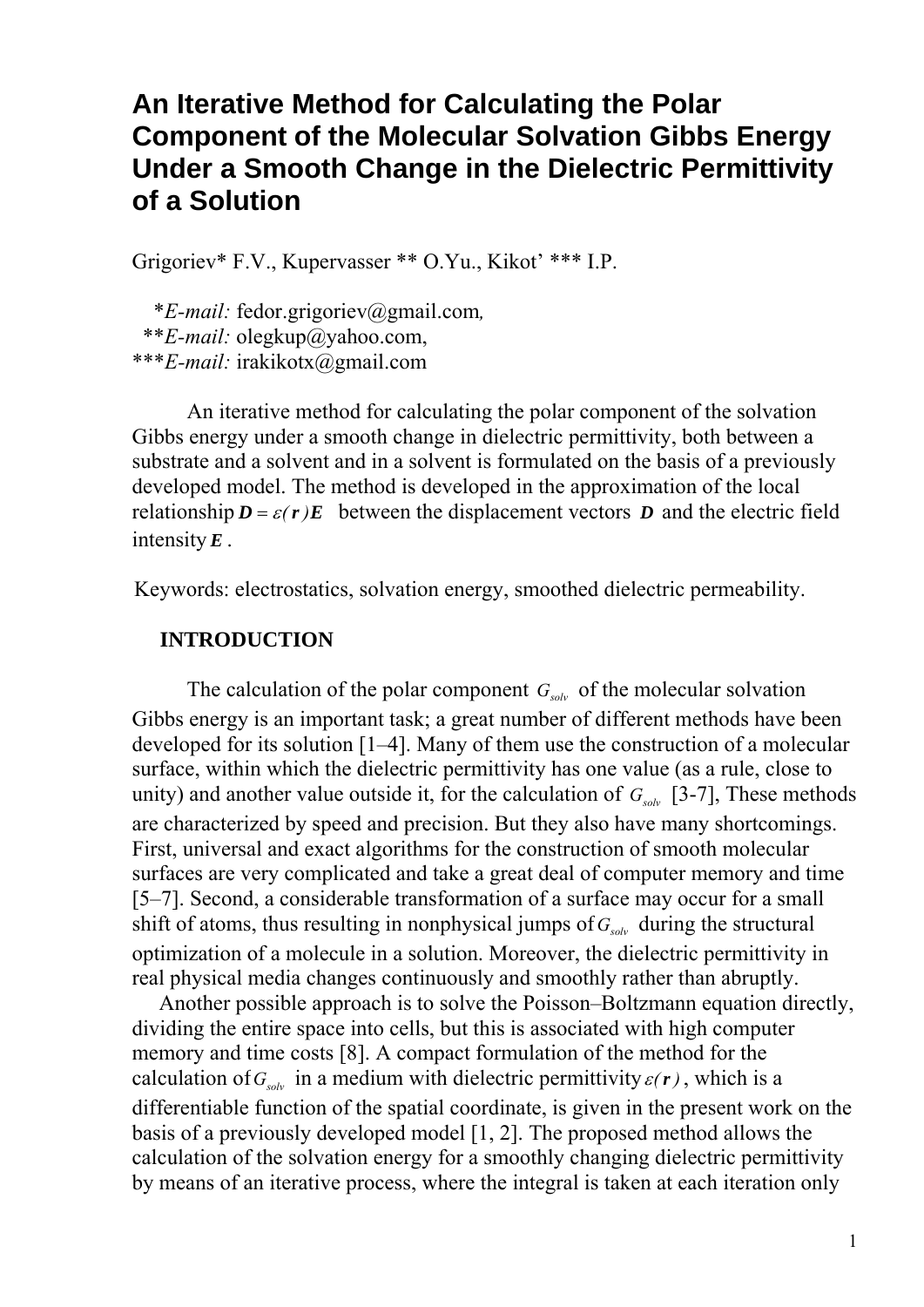# **An Iterative Method for Calculating the Polar Component of the Molecular Solvation Gibbs Energy Under a Smooth Change in the Dielectric Permittivity of a Solution**

Grigoriev\* F.V., Kupervasser \*\* O.Yu., Kikot' \*\*\* I.P.

 \**E-mail:* fedor.grigoriev@gmail.com*,* \*\**E-mail:* olegkup@yahoo.com, \*\*\**E-mail:* irakikotx@gmail.com

 An iterative method for calculating the polar component of the solvation Gibbs energy under a smooth change in dielectric permittivity, both between a substrate and a solvent and in a solvent is formulated on the basis of a previously developed model. The method is developed in the approximation of the local relationship  $D = \varepsilon(r)E$  between the displacement vectors *D* and the electric field intensity *E* .

Keywords: electrostatics, solvation energy, smoothed dielectric permeability.

## **INTRODUCTION**

The calculation of the polar component  $G_{solv}$  of the molecular solvation Gibbs energy is an important task; a great number of different methods have been developed for its solution [1–4]. Many of them use the construction of a molecular surface, within which the dielectric permittivity has one value (as a rule, close to unity) and another value outside it, for the calculation of  $G_{solv}$  [3-7], These methods are characterized by speed and precision. But they also have many shortcomings. First, universal and exact algorithms for the construction of smooth molecular surfaces are very complicated and take a great deal of computer memory and time [5–7]. Second, a considerable transformation of a surface may occur for a small shift of atoms, thus resulting in nonphysical jumps of  $G_{solv}$  during the structural optimization of a molecule in a solution. Moreover, the dielectric permittivity in real physical media changes continuously and smoothly rather than abruptly.

 Another possible approach is to solve the Poisson–Boltzmann equation directly, dividing the entire space into cells, but this is associated with high computer memory and time costs [8]. A compact formulation of the method for the calculation of  $G_{solv}$  in a medium with dielectric permittivity  $\varepsilon(\mathbf{r})$ , which is a differentiable function of the spatial coordinate, is given in the present work on the basis of a previously developed model [1, 2]. The proposed method allows the calculation of the solvation energy for a smoothly changing dielectric permittivity by means of an iterative process, where the integral is taken at each iteration only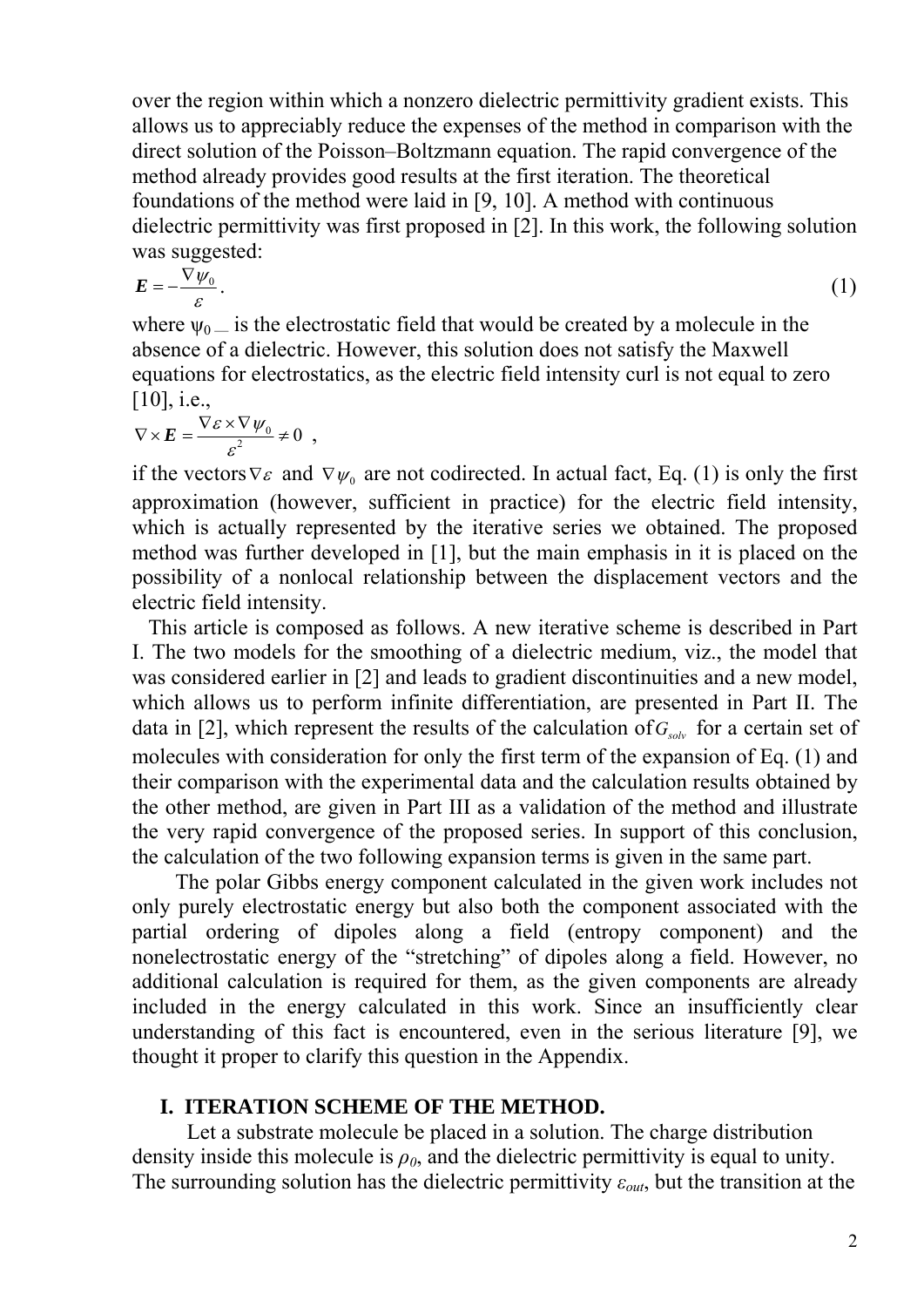over the region within which a nonzero dielectric permittivity gradient exists. This allows us to appreciably reduce the expenses of the method in comparison with the direct solution of the Poisson–Boltzmann equation. The rapid convergence of the method already provides good results at the first iteration. The theoretical foundations of the method were laid in [9, 10]. A method with continuous dielectric permittivity was first proposed in [2]. In this work, the following solution was suggested:

$$
E = -\frac{\nabla \psi_0}{\varepsilon}.
$$
 (1)

where  $\psi_0$  is the electrostatic field that would be created by a molecule in the absence of a dielectric. However, this solution does not satisfy the Maxwell equations for electrostatics, as the electric field intensity curl is not equal to zero  $[10]$ , i.e.,

$$
\nabla \times \boldsymbol{E} = \frac{\nabla \varepsilon \times \nabla \psi_0}{\varepsilon^2} \neq 0 \ ,
$$

if the vectors  $\nabla \varepsilon$  and  $\nabla \psi_0$  are not codirected. In actual fact, Eq. (1) is only the first approximation (however, sufficient in practice) for the electric field intensity, which is actually represented by the iterative series we obtained. The proposed method was further developed in [1], but the main emphasis in it is placed on the possibility of a nonlocal relationship between the displacement vectors and the electric field intensity.

 This article is composed as follows. A new iterative scheme is described in Part I. The two models for the smoothing of a dielectric medium, viz., the model that was considered earlier in [2] and leads to gradient discontinuities and a new model, which allows us to perform infinite differentiation, are presented in Part II. The data in [2], which represent the results of the calculation of  $G_{solv}$  for a certain set of molecules with consideration for only the first term of the expansion of Eq. (1) and their comparison with the experimental data and the calculation results obtained by the other method, are given in Part III as a validation of the method and illustrate the very rapid convergence of the proposed series. In support of this conclusion, the calculation of the two following expansion terms is given in the same part.

 The polar Gibbs energy component calculated in the given work includes not only purely electrostatic energy but also both the component associated with the partial ordering of dipoles along a field (entropy component) and the nonelectrostatic energy of the "stretching" of dipoles along a field. However, no additional calculation is required for them, as the given components are already included in the energy calculated in this work. Since an insufficiently clear understanding of this fact is encountered, even in the serious literature [9], we thought it proper to clarify this question in the Appendix.

## **I. ITERATION SCHEME OF THE METHOD.**

 Let a substrate molecule be placed in a solution. The charge distribution density inside this molecule is  $\rho_0$ , and the dielectric permittivity is equal to unity. The surrounding solution has the dielectric permittivity *εout*, but the transition at the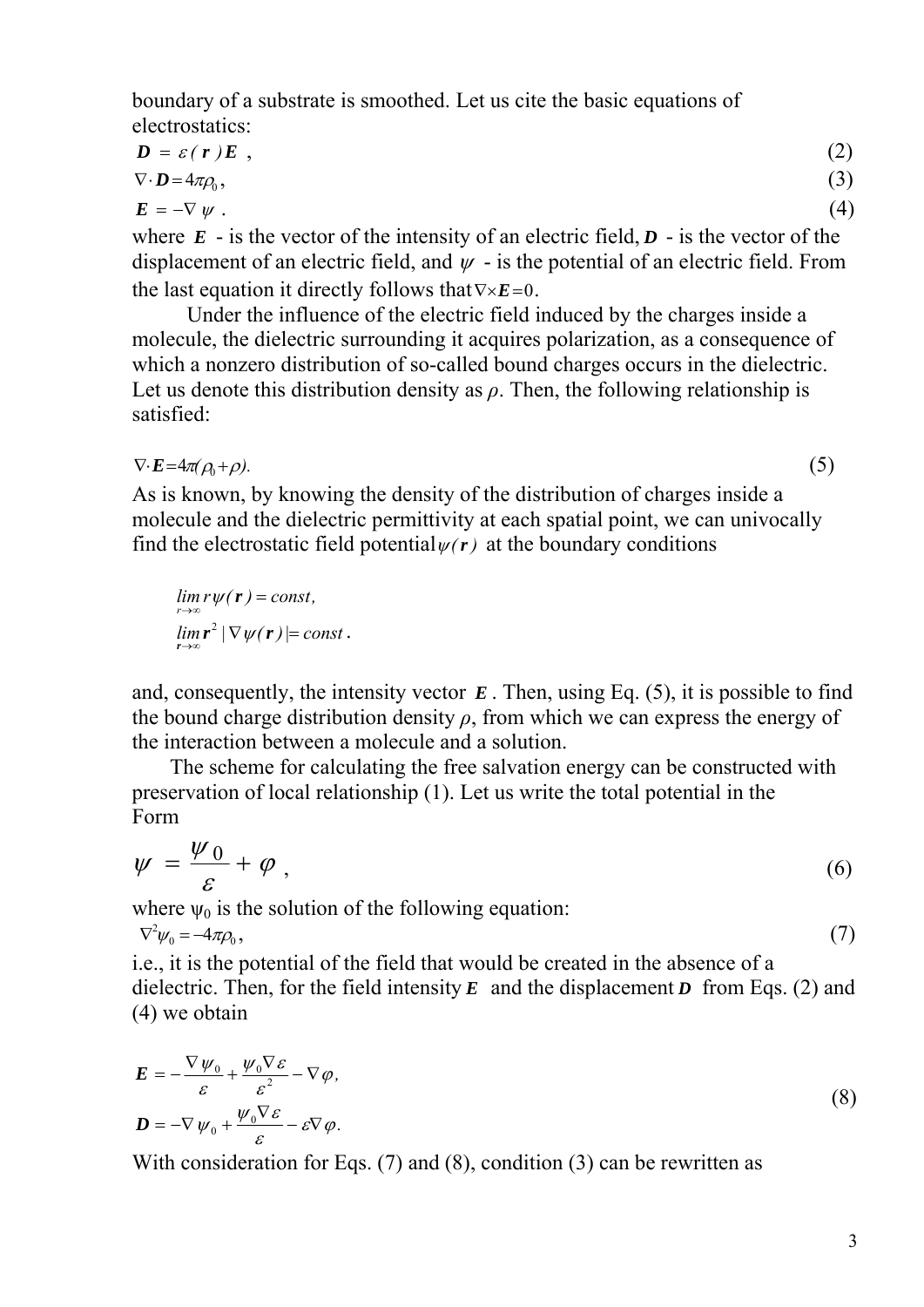boundary of a substrate is smoothed. Let us cite the basic equations of electrostatics:

$$
D = \varepsilon(r)E, \qquad (2)
$$
  
\n
$$
\nabla \cdot D = 4\pi \rho_0, \qquad (3)
$$
  
\n
$$
E = -\nabla \psi.
$$

where  $E -$  is the vector of the intensity of an electric field,  $D -$  is the vector of the displacement of an electric field, and  $\psi$  - is the potential of an electric field. From the last equation it directly follows that∇×*E*=0.

 Under the influence of the electric field induced by the charges inside a molecule, the dielectric surrounding it acquires polarization, as a consequence of which a nonzero distribution of so-called bound charges occurs in the dielectric. Let us denote this distribution density as  $\rho$ . Then, the following relationship is satisfied:

 $\nabla \cdot \mathbf{E} = 4\pi(\rho_0 + \rho).$  (5)

As is known, by knowing the density of the distribution of charges inside a molecule and the dielectric permittivity at each spatial point, we can univocally

find the electrostatic field potential $\psi(r)$  at the boundary conditions

$$
\lim_{r \to \infty} r\psi(\mathbf{r}) = const,\n\lim_{r \to \infty} r^2 |\nabla \psi(\mathbf{r})| = const.
$$

and, consequently, the intensity vector  $E$ . Then, using Eq. (5), it is possible to find the bound charge distribution density  $\rho$ , from which we can express the energy of the interaction between a molecule and a solution.

 The scheme for calculating the free salvation energy can be constructed with preservation of local relationship (1). Let us write the total potential in the Form

$$
\psi = \frac{\psi_0}{\varepsilon} + \varphi \tag{6}
$$

where  $\psi_0$  is the solution of the following equation:

$$
\nabla^2 \psi_0 = -4\pi \rho_0, \tag{7}
$$

i.e., it is the potential of the field that would be created in the absence of a dielectric. Then, for the field intensity  $E$  and the displacement  $D$  from Eqs. (2) and (4) we obtain

$$
E = -\frac{\nabla \psi_0}{\varepsilon} + \frac{\psi_0 \nabla \varepsilon}{\varepsilon^2} - \nabla \varphi,
$$
  

$$
D = -\nabla \psi_0 + \frac{\psi_0 \nabla \varepsilon}{\varepsilon} - \varepsilon \nabla \varphi.
$$
 (8)

With consideration for Eqs. (7) and (8), condition (3) can be rewritten as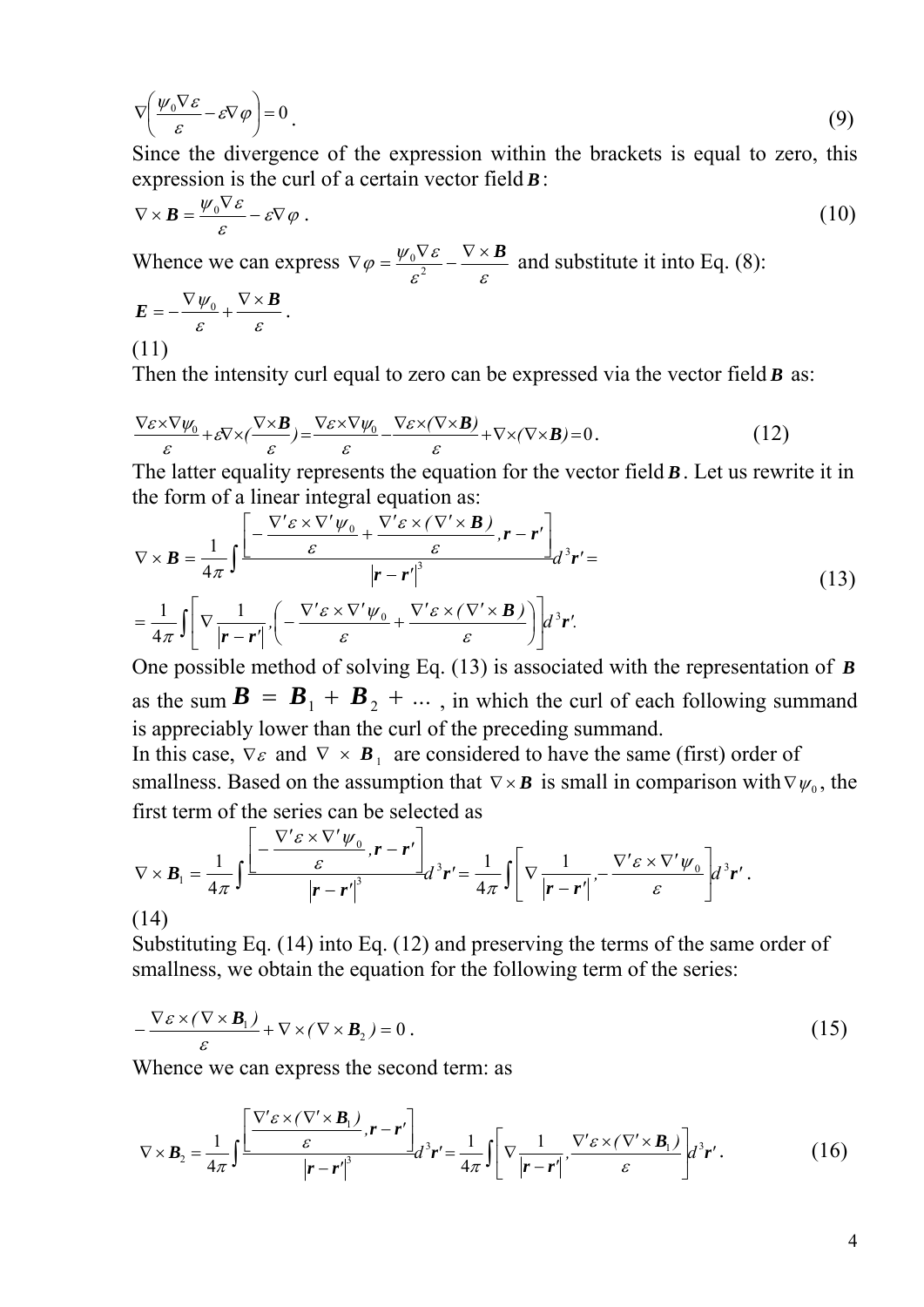$$
\nabla \left( \frac{\psi_0 \nabla \varepsilon}{\varepsilon} - \varepsilon \nabla \varphi \right) = 0 \tag{9}
$$

Since the divergence of the expression within the brackets is equal to zero, this expression is the curl of a certain vector field *B*:

$$
\nabla \times \mathbf{B} = \frac{\psi_0 \nabla \varepsilon}{\varepsilon} - \varepsilon \nabla \varphi \; . \tag{10}
$$

Whence we can express  $\nabla \varphi = \frac{\varphi_0 \mathbf{v} \cdot \mathbf{z}}{\varepsilon^2} - \frac{\mathbf{v} \cdot \mathbf{x}}{\varepsilon}$  $\nabla \varphi = \frac{\psi_0 \nabla \varepsilon}{c^2} - \frac{\nabla \times \mathbf{B}}{c}$  and substitute it into Eq. (8):

$$
E = -\frac{\nabla \psi_0}{\varepsilon} + \frac{\nabla \times B}{\varepsilon}.
$$
\n(11)

Then the intensity curl equal to zero can be expressed via the vector field *B* as:

$$
\frac{\nabla \varepsilon \times \nabla \psi_0}{\varepsilon} + \varepsilon \nabla \times (\frac{\nabla \times \mathbf{B}}{\varepsilon}) = \frac{\nabla \varepsilon \times \nabla \psi_0}{\varepsilon} - \frac{\nabla \varepsilon \times (\nabla \times \mathbf{B})}{\varepsilon} + \nabla \times (\nabla \times \mathbf{B}) = 0.
$$
 (12)

The latter equality represents the equation for the vector field *B*. Let us rewrite it in the form of a linear integral equation as:

$$
\nabla \times \mathbf{B} = \frac{1}{4\pi} \int \frac{\left[ -\frac{\nabla' \varepsilon \times \nabla' \psi_0}{\varepsilon} + \frac{\nabla' \varepsilon \times (\nabla' \times \mathbf{B})}{\varepsilon}, \mathbf{r} - \mathbf{r}' \right]}{\left| \mathbf{r} - \mathbf{r}' \right|^3} d^3 \mathbf{r}' =
$$
\n
$$
= \frac{1}{4\pi} \int \left[ \nabla \frac{1}{|\mathbf{r} - \mathbf{r}'|} , \left( -\frac{\nabla' \varepsilon \times \nabla' \psi_0}{\varepsilon} + \frac{\nabla' \varepsilon \times (\nabla' \times \mathbf{B})}{\varepsilon} \right) \right] d^3 \mathbf{r}'.
$$
\n(13)

One possible method of solving Eq. (13) is associated with the representation of *B* as the sum  $\mathbf{B} = \mathbf{B}_1 + \mathbf{B}_2 + \dots$ , in which the curl of each following summand is appreciably lower than the curl of the preceding summand.

In this case,  $\nabla \varepsilon$  and  $\nabla \times \mathbf{B}_1$  are considered to have the same (first) order of smallness. Based on the assumption that  $\nabla \times \mathbf{B}$  is small in comparison with  $\nabla \psi_0$ , the first term of the series can be selected as

$$
\nabla \times \boldsymbol{B}_1 = \frac{1}{4\pi} \int \frac{\left[ -\frac{\nabla' \varepsilon \times \nabla' \psi_0}{\varepsilon}, \boldsymbol{r} - \boldsymbol{r}' \right]}{\left| \boldsymbol{r} - \boldsymbol{r}' \right|^3} d^3 \boldsymbol{r}' = \frac{1}{4\pi} \int \left[ \nabla \frac{1}{\left| \boldsymbol{r} - \boldsymbol{r}' \right|}, -\frac{\nabla' \varepsilon \times \nabla' \psi_0}{\varepsilon} \right] d^3 \boldsymbol{r}'.
$$
\n(14)

Substituting Eq. (14) into Eq. (12) and preserving the terms of the same order of smallness, we obtain the equation for the following term of the series:

$$
-\frac{\nabla \varepsilon \times (\nabla \times \mathbf{B}_1)}{\varepsilon} + \nabla \times (\nabla \times \mathbf{B}_2) = 0.
$$
 (15)

Whence we can express the second term: as

$$
\nabla \times \boldsymbol{B}_2 = \frac{1}{4\pi} \int \frac{\left[ \frac{\nabla' \varepsilon \times (\nabla' \times \boldsymbol{B}_1)}{\varepsilon} \right]_r - r'}{\left| \boldsymbol{r} - \boldsymbol{r'} \right|^3} d^3 \boldsymbol{r'} = \frac{1}{4\pi} \int \left[ \nabla \frac{1}{\left| \boldsymbol{r} - \boldsymbol{r'} \right|} \cdot \frac{\nabla' \varepsilon \times (\nabla' \times \boldsymbol{B}_1)}{\varepsilon} \right] d^3 \boldsymbol{r'}.
$$
 (16)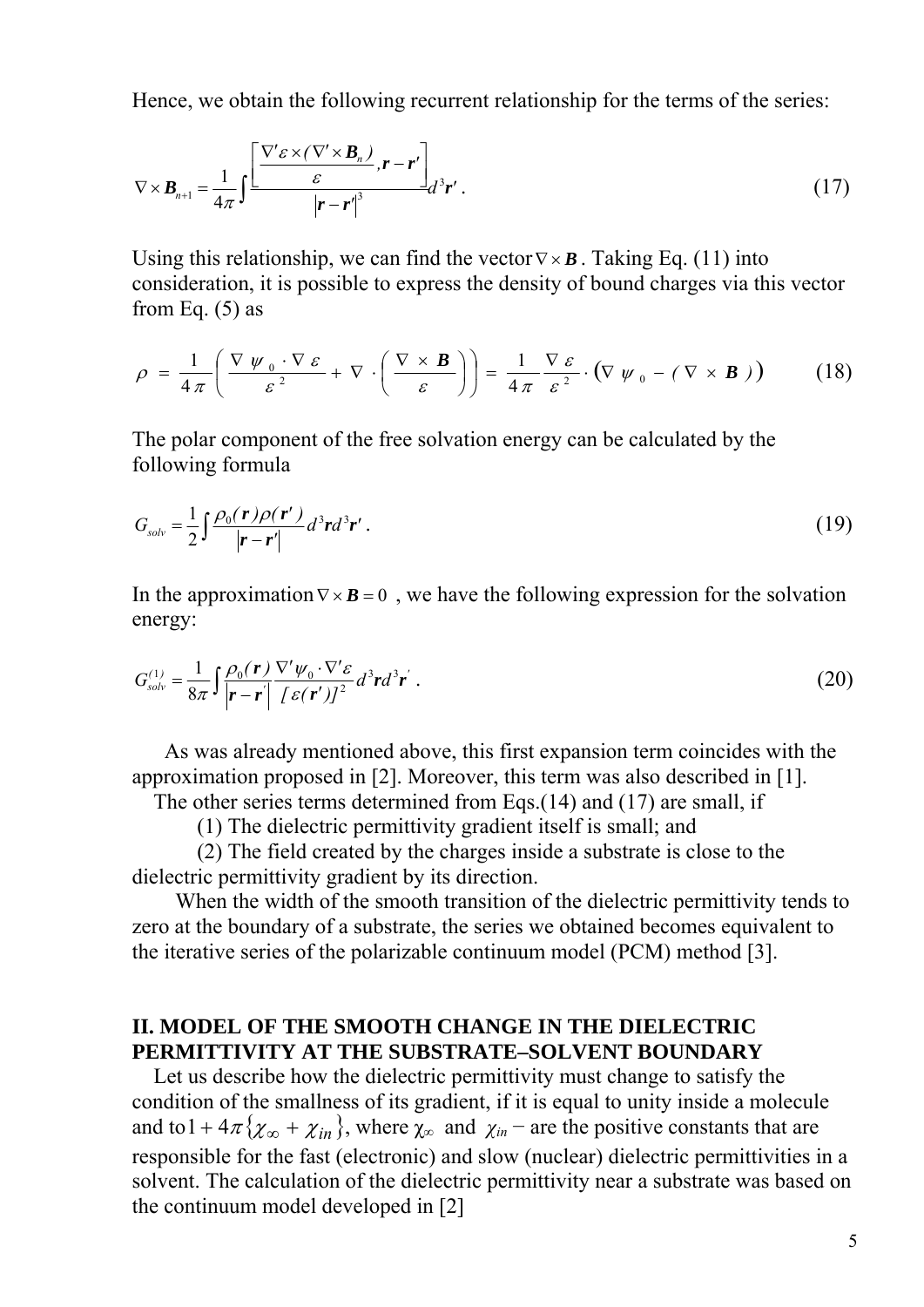Hence, we obtain the following recurrent relationship for the terms of the series:

$$
\nabla \times \boldsymbol{B}_{n+1} = \frac{1}{4\pi} \int \frac{\left[ \frac{\nabla' \varepsilon \times (\nabla' \times \boldsymbol{B}_n)}{\varepsilon} \right]_r - \boldsymbol{r}'}{\left| \boldsymbol{r} - \boldsymbol{r}' \right|^3} d^3 \boldsymbol{r}' . \tag{17}
$$

Using this relationship, we can find the vector  $\nabla \times \mathbf{B}$ . Taking Eq. (11) into consideration, it is possible to express the density of bound charges via this vector from Eq.  $(5)$  as

$$
\rho = \frac{1}{4\pi} \left( \frac{\nabla \psi_0 \cdot \nabla \varepsilon}{\varepsilon^2} + \nabla \cdot \left( \frac{\nabla \times \mathbf{B}}{\varepsilon} \right) \right) = \frac{1}{4\pi} \frac{\nabla \varepsilon}{\varepsilon^2} \cdot \left( \nabla \psi_0 - (\nabla \times \mathbf{B}) \right) \tag{18}
$$

The polar component of the free solvation energy can be calculated by the following formula

$$
G_{solv} = \frac{1}{2} \int \frac{\rho_0(\mathbf{r}) \rho(\mathbf{r}')}{|\mathbf{r} - \mathbf{r}'|} d^3 \mathbf{r} d^3 \mathbf{r}' \,. \tag{19}
$$

In the approximation  $\nabla \times \mathbf{B} = 0$ , we have the following expression for the solvation energy:

$$
G_{solv}^{(1)} = \frac{1}{8\pi} \int \frac{\rho_0(\mathbf{r})}{|\mathbf{r} - \mathbf{r}|} \frac{\nabla' \psi_0 \cdot \nabla' \varepsilon}{[\varepsilon(\mathbf{r}')]^2} d^3 \mathbf{r} d^3 \mathbf{r}' . \tag{20}
$$

 As was already mentioned above, this first expansion term coincides with the approximation proposed in [2]. Moreover, this term was also described in [1].

The other series terms determined from Eqs.(14) and (17) are small, if

(1) The dielectric permittivity gradient itself is small; and

 (2) The field created by the charges inside a substrate is close to the dielectric permittivity gradient by its direction.

 When the width of the smooth transition of the dielectric permittivity tends to zero at the boundary of a substrate, the series we obtained becomes equivalent to the iterative series of the polarizable continuum model (PCM) method [3].

# **II. MODEL OF THE SMOOTH CHANGE IN THE DIELECTRIC PERMITTIVITY AT THE SUBSTRATE–SOLVENT BOUNDARY**

 Let us describe how the dielectric permittivity must change to satisfy the condition of the smallness of its gradient, if it is equal to unity inside a molecule and to  $1 + 4\pi \{\chi_{\infty} + \chi_{in}\}\$ , where  $\chi_{\infty}$  and  $\chi_{in}$  – are the positive constants that are responsible for the fast (electronic) and slow (nuclear) dielectric permittivities in a solvent. The calculation of the dielectric permittivity near a substrate was based on the continuum model developed in [2]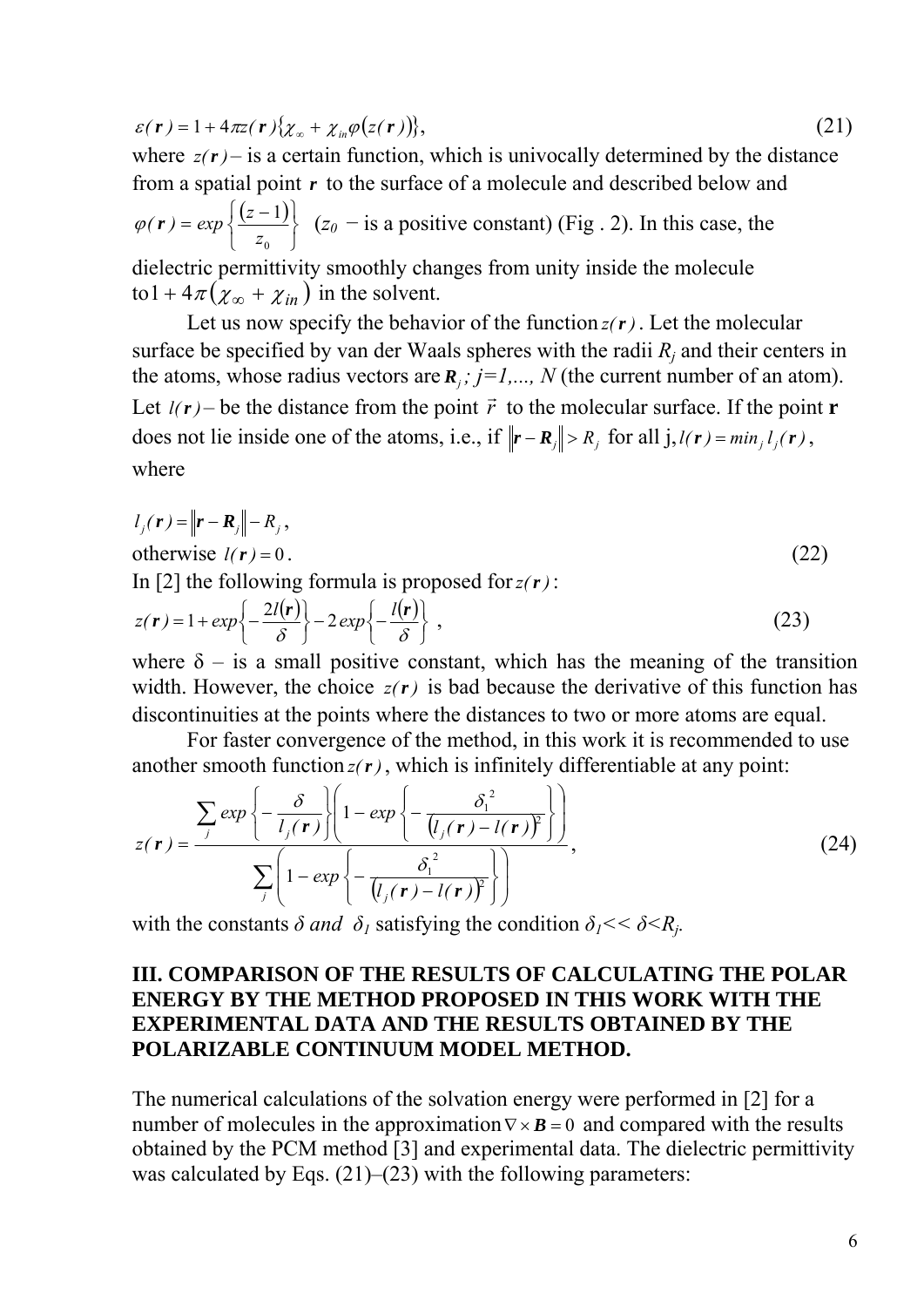$$
\varepsilon(\mathbf{r}) = 1 + 4\pi \mathbf{z}(\mathbf{r}) \{\chi_{\infty} + \chi_{in} \varphi(z(\mathbf{r}))\},\tag{21}
$$

where  $z(r)$  – is a certain function, which is univocally determined by the distance from a spatial point *r* to the surface of a molecule and described below and  $(z-1)$ ⎭  $\left\{ \right\}$  $\vert$  $\overline{a}$  $= exp \left\{\frac{(z -$ 0 1 *z*  $\varphi(r) = exp\left\{\frac{(z-1)}{2}\right\}$  ( $z_0$  – is a positive constant) (Fig. 2). In this case, the dielectric permittivity smoothly changes from unity inside the molecule to  $1 + 4\pi (\chi_{\infty} + \chi_{in})$  in the solvent.

Let us now specify the behavior of the function  $z(r)$ . Let the molecular surface be specified by van der Waals spheres with the radii  $R_i$  and their centers in the atoms, whose radius vectors are  $\mathbf{R}_i$ ;  $j=1,..., N$  (the current number of an atom). Let  $l(r)$  – be the distance from the point  $\vec{r}$  to the molecular surface. If the point **r** does not lie inside one of the atoms, i.e., if  $\|\mathbf{r} - \mathbf{R}_j\| > R_j$  for all  $j, l(\mathbf{r}) = min_j l_j(\mathbf{r})$ , where

$$
l_j(\mathbf{r}) = ||\mathbf{r} - \mathbf{R}_j|| - R_j,
$$
  
otherwise  $l(\mathbf{r}) = 0$ .  
In [2] the following formula is proposed for  $z(\mathbf{r})$ :  
(22)

$$
z(\mathbf{r}) = 1 + exp\left\{-\frac{2l(\mathbf{r})}{\delta}\right\} - 2exp\left\{-\frac{l(\mathbf{r})}{\delta}\right\},
$$
\n(23)

where  $\delta$  – is a small positive constant, which has the meaning of the transition width. However, the choice  $z(r)$  is bad because the derivative of this function has discontinuities at the points where the distances to two or more atoms are equal.

 For faster convergence of the method, in this work it is recommended to use another smooth function  $z(r)$ , which is infinitely differentiable at any point:

$$
z(\mathbf{r}) = \frac{\sum_{j} exp\left\{-\frac{\delta}{l_j(\mathbf{r})}\right\}\left(1 - exp\left\{-\frac{\delta_1^2}{(l_j(\mathbf{r}) - l(\mathbf{r}))^2}\right\}\right)}{\sum_{j}\left(1 - exp\left\{-\frac{\delta_1^2}{(l_j(\mathbf{r}) - l(\mathbf{r}))^2}\right\}\right)},
$$
\n(24)

with the constants  $\delta$  *and*  $\delta$ <sup>*I*</sup> satisfying the condition  $\delta$ <sup>*I*</sup> <  $\delta$  <  $R$ <sup>*i*</sup>.

# **III. COMPARISON OF THE RESULTS OF CALCULATING THE POLAR ENERGY BY THE METHOD PROPOSED IN THIS WORK WITH THE EXPERIMENTAL DATA AND THE RESULTS OBTAINED BY THE POLARIZABLE CONTINUUM MODEL METHOD.**

The numerical calculations of the solvation energy were performed in [2] for a number of molecules in the approximation  $\nabla \times \mathbf{B} = 0$  and compared with the results obtained by the PCM method [3] and experimental data. The dielectric permittivity was calculated by Eqs.  $(21)$ – $(23)$  with the following parameters: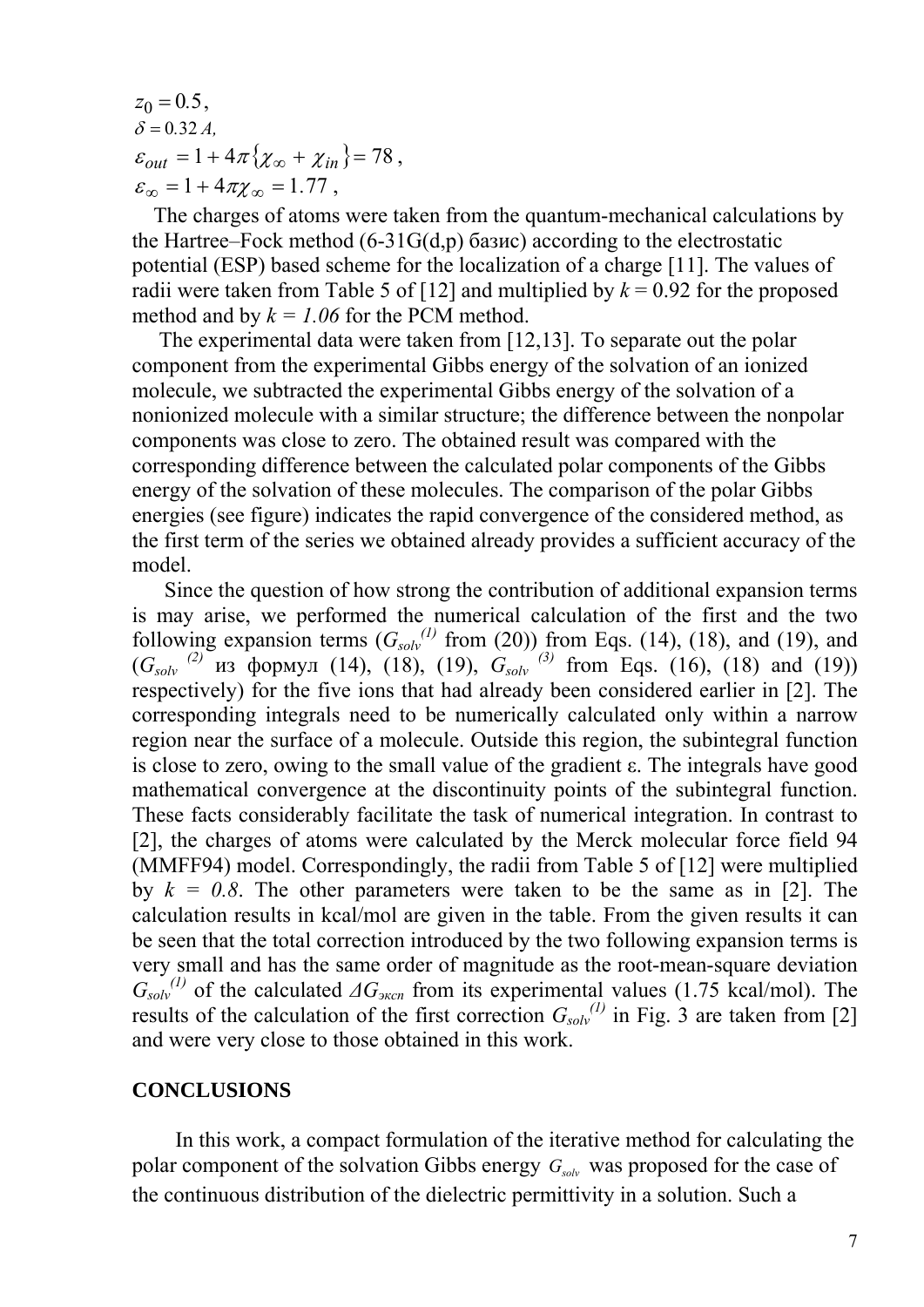$z_0 = 0.5$ ,  $\delta = 0.32 A$ ,  $\varepsilon_{out} = 1 + 4\pi \{\chi_{\infty} + \chi_{in}\} = 78$ ,  $\varepsilon_{\infty} = 1 + 4\pi \chi_{\infty} = 1.77$ ,

 The charges of atoms were taken from the quantum-mechanical calculations by the Hartree–Fock method (6-31G(d,p) базис) according to the electrostatic potential (ESP) based scheme for the localization of a charge [11]. The values of radii were taken from Table 5 of [12] and multiplied by  $k = 0.92$  for the proposed method and by  $k = 1.06$  for the PCM method.

 The experimental data were taken from [12,13]. To separate out the polar component from the experimental Gibbs energy of the solvation of an ionized molecule, we subtracted the experimental Gibbs energy of the solvation of a nonionized molecule with a similar structure; the difference between the nonpolar components was close to zero. The obtained result was compared with the corresponding difference between the calculated polar components of the Gibbs energy of the solvation of these molecules. The comparison of the polar Gibbs energies (see figure) indicates the rapid convergence of the considered method, as the first term of the series we obtained already provides a sufficient accuracy of the model.

 Since the question of how strong the contribution of additional expansion terms is may arise, we performed the numerical calculation of the first and the two following expansion terms  $(G_{solv}^{(1)}$  from (20)) from Eqs. (14), (18), and (19), and  $(G_{solv}^{(2)}$  из формул (14), (18), (19),  $G_{solv}^{(3)}$  from Eqs. (16), (18) and (19)) respectively) for the five ions that had already been considered earlier in [2]. The corresponding integrals need to be numerically calculated only within a narrow region near the surface of a molecule. Outside this region, the subintegral function is close to zero, owing to the small value of the gradient ε. The integrals have good mathematical convergence at the discontinuity points of the subintegral function. These facts considerably facilitate the task of numerical integration. In contrast to [2], the charges of atoms were calculated by the Merck molecular force field 94 (MMFF94) model. Correspondingly, the radii from Table 5 of [12] were multiplied by  $k = 0.8$ . The other parameters were taken to be the same as in [2]. The calculation results in kcal/mol are given in the table. From the given results it can be seen that the total correction introduced by the two following expansion terms is very small and has the same order of magnitude as the root-mean-square deviation  $G_{solv}^{(1)}$  of the calculated  $\Delta G_{sR}$  from its experimental values (1.75 kcal/mol). The results of the calculation of the first correction  $G_{solv}^{(1)}$  in Fig. 3 are taken from [2] and were very close to those obtained in this work.

### **CONCLUSIONS**

 In this work, a compact formulation of the iterative method for calculating the polar component of the solvation Gibbs energy  $G_{solv}$  was proposed for the case of the continuous distribution of the dielectric permittivity in a solution. Such a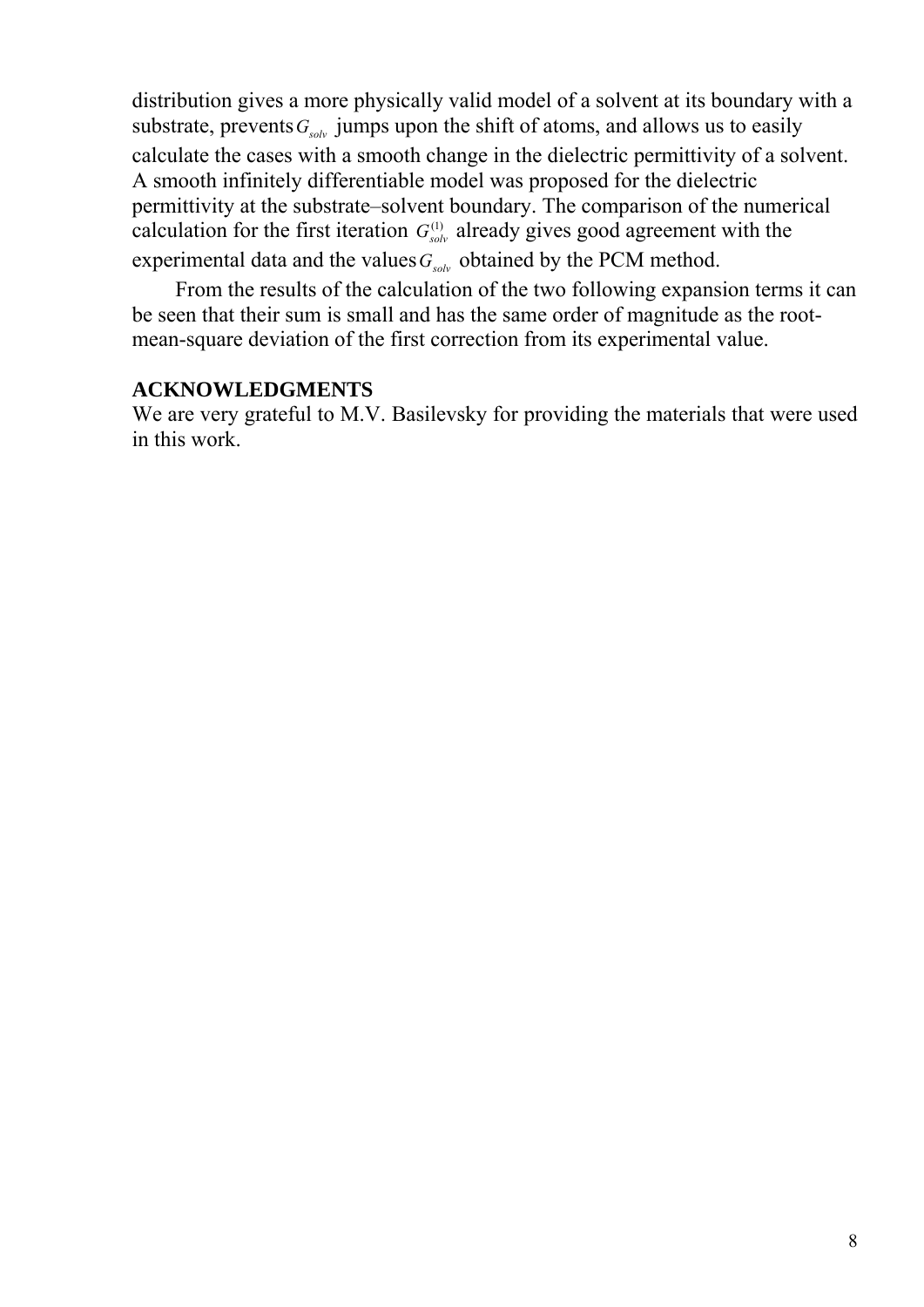distribution gives a more physically valid model of a solvent at its boundary with a substrate, prevents  $G_{s_0l_0}$  jumps upon the shift of atoms, and allows us to easily calculate the cases with a smooth change in the dielectric permittivity of a solvent. A smooth infinitely differentiable model was proposed for the dielectric permittivity at the substrate–solvent boundary. The comparison of the numerical calculation for the first iteration  $G_{solv}^{(1)}$  already gives good agreement with the experimental data and the values  $G_{solv}$  obtained by the PCM method.

 From the results of the calculation of the two following expansion terms it can be seen that their sum is small and has the same order of magnitude as the rootmean-square deviation of the first correction from its experimental value.

## **ACKNOWLEDGMENTS**

We are very grateful to M.V. Basilevsky for providing the materials that were used in this work.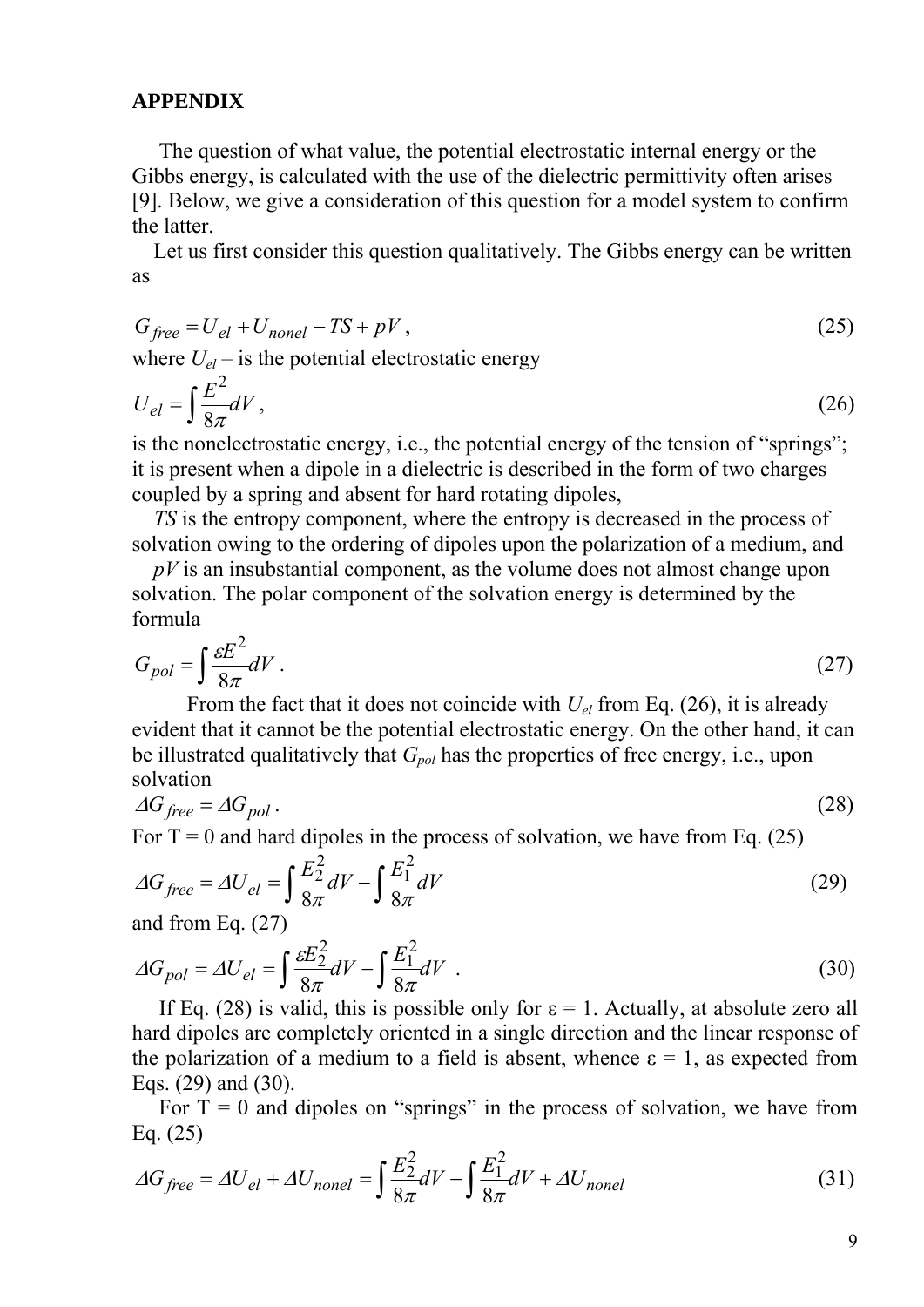# **APPENDIX**

 The question of what value, the potential electrostatic internal energy or the Gibbs energy, is calculated with the use of the dielectric permittivity often arises [9]. Below, we give a consideration of this question for a model system to confirm the latter.

 Let us first consider this question qualitatively. The Gibbs energy can be written as

$$
G_{free} = U_{el} + U_{nonel} - TS + pV, \qquad (25)
$$

where  $U_{el}$  – is the potential electrostatic energy

$$
U_{el} = \int \frac{E^2}{8\pi} dV, \tag{26}
$$

is the nonelectrostatic energy, i.e., the potential energy of the tension of "springs"; it is present when a dipole in a dielectric is described in the form of two charges coupled by a spring and absent for hard rotating dipoles,

 *TS* is the entropy component, where the entropy is decreased in the process of solvation owing to the ordering of dipoles upon the polarization of a medium, and

 *pV* is an insubstantial component, as the volume does not almost change upon solvation. The polar component of the solvation energy is determined by the formula

$$
G_{pol} = \int \frac{\varepsilon E^2}{8\pi} dV \,. \tag{27}
$$

From the fact that it does not coincide with  $U_{el}$  from Eq. (26), it is already evident that it cannot be the potential electrostatic energy. On the other hand, it can be illustrated qualitatively that  $G_{pol}$  has the properties of free energy, i.e., upon solvation

$$
\Delta G_{free} = \Delta G_{pol} \,. \tag{28}
$$

For  $T = 0$  and hard dipoles in the process of solvation, we have from Eq. (25)

$$
\Delta G_{free} = \Delta U_{el} = \int \frac{E_2^2}{8\pi} dV - \int \frac{E_1^2}{8\pi} dV \tag{29}
$$

and from Eq. (27)

$$
\Delta G_{pol} = \Delta U_{el} = \int \frac{\varepsilon E_2^2}{8\pi} dV - \int \frac{E_1^2}{8\pi} dV \quad . \tag{30}
$$

If Eq. (28) is valid, this is possible only for  $\varepsilon = 1$ . Actually, at absolute zero all hard dipoles are completely oriented in a single direction and the linear response of the polarization of a medium to a field is absent, whence  $\varepsilon = 1$ , as expected from Eqs. (29) and (30).

For  $T = 0$  and dipoles on "springs" in the process of solvation, we have from Eq. (25)

$$
\Delta G_{free} = \Delta U_{el} + \Delta U_{nonel} = \int \frac{E_2^2}{8\pi} dV - \int \frac{E_1^2}{8\pi} dV + \Delta U_{nonel}
$$
(31)

9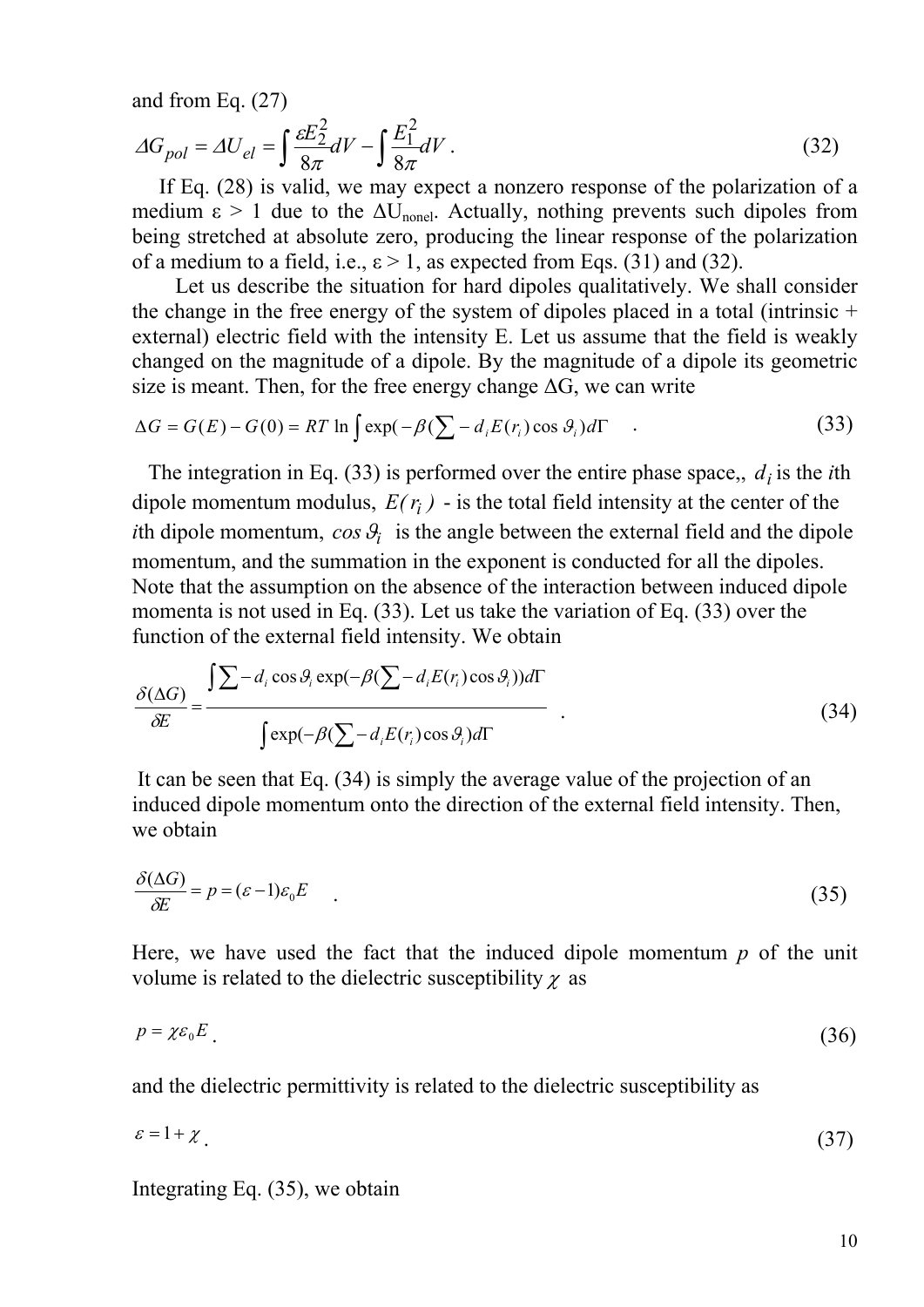and from Eq. (27)

$$
\Delta G_{pol} = \Delta U_{el} = \int \frac{\varepsilon E_2^2}{8\pi} dV - \int \frac{E_1^2}{8\pi} dV \,. \tag{32}
$$

 If Eq. (28) is valid, we may expect a nonzero response of the polarization of a medium  $\epsilon > 1$  due to the  $\Delta U_{\text{nonel}}$ . Actually, nothing prevents such dipoles from being stretched at absolute zero, producing the linear response of the polarization of a medium to a field, i.e.,  $\varepsilon > 1$ , as expected from Eqs. (31) and (32).

 Let us describe the situation for hard dipoles qualitatively. We shall consider the change in the free energy of the system of dipoles placed in a total (intrinsic + external) electric field with the intensity E. Let us assume that the field is weakly changed on the magnitude of a dipole. By the magnitude of a dipole its geometric size is meant. Then, for the free energy change  $\Delta G$ , we can write

$$
\Delta G = G(E) - G(0) = RT \ln \int \exp(-\beta (\sum - d_i E(r_i) \cos \theta_i) d\Gamma
$$
 (33)

The integration in Eq. (33) is performed over the entire phase space,,  $d_i$  is the *i*th dipole momentum modulus,  $E(r_i)$  - is the total field intensity at the center of the *i*th dipole momentum,  $cos \theta_i$  is the angle between the external field and the dipole momentum, and the summation in the exponent is conducted for all the dipoles. Note that the assumption on the absence of the interaction between induced dipole momenta is not used in Eq. (33). Let us take the variation of Eq. (33) over the function of the external field intensity. We obtain

$$
\frac{\delta(\Delta G)}{\delta E} = \frac{\int \sum -d_i \cos \theta_i \exp(-\beta (\sum -d_i E(r_i) \cos \theta_i)) d\Gamma}{\int \exp(-\beta (\sum -d_i E(r_i) \cos \theta_i) d\Gamma} \tag{34}
$$

 It can be seen that Eq. (34) is simply the average value of the projection of an induced dipole momentum onto the direction of the external field intensity. Then, we obtain

$$
\frac{\delta(\Delta G)}{\delta E} = p = (\varepsilon - 1)\varepsilon_0 E \tag{35}
$$

Here, we have used the fact that the induced dipole momentum *p* of the unit volume is related to the dielectric susceptibility  $\chi$  as

$$
p = \chi \varepsilon_0 E \tag{36}
$$

and the dielectric permittivity is related to the dielectric susceptibility as

$$
\varepsilon = 1 + \chi \tag{37}
$$

Integrating Eq. (35), we obtain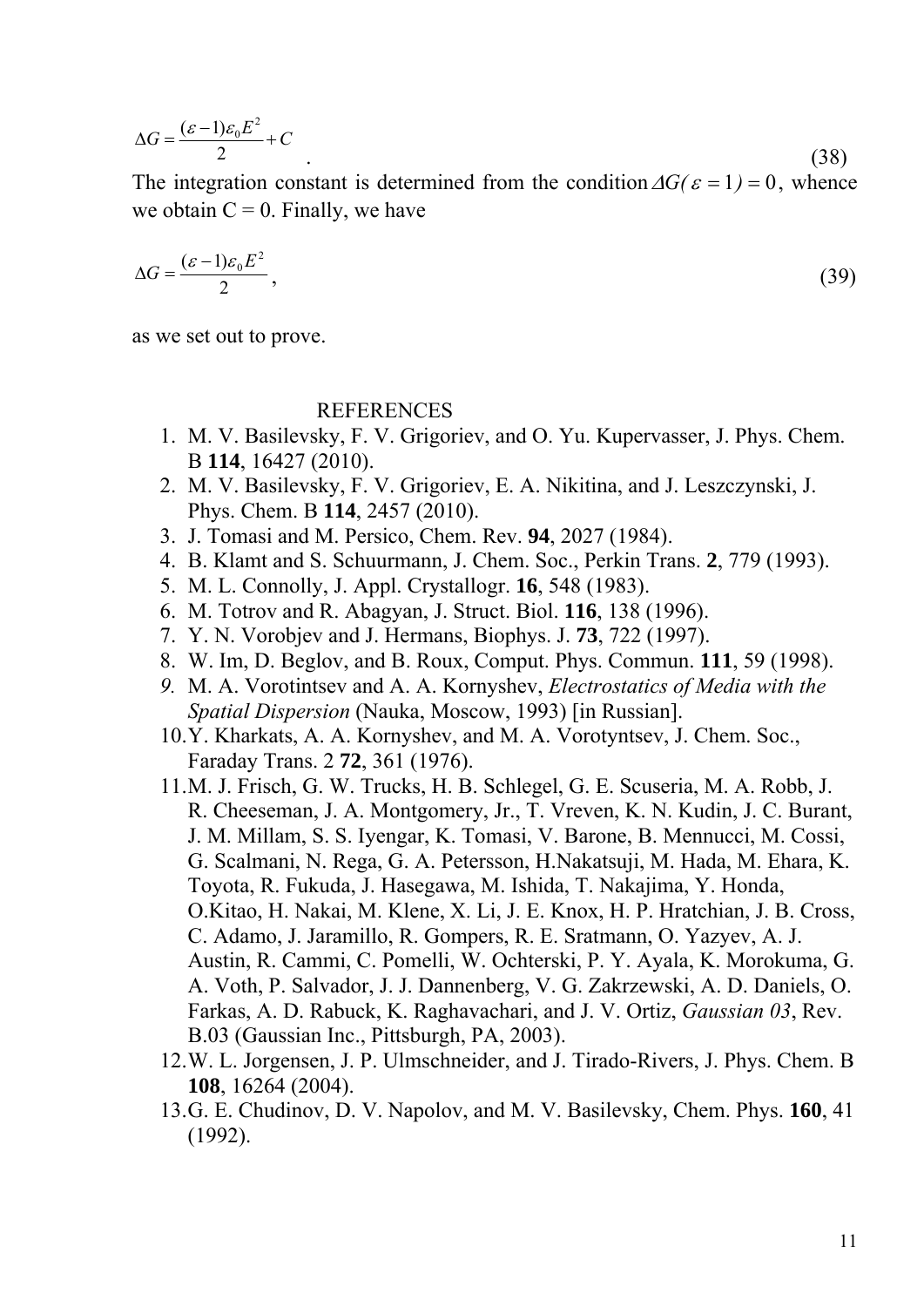$$
\Delta G = \frac{(\varepsilon - 1)\varepsilon_0 E^2}{2} + C \tag{38}
$$

The integration constant is determined from the condition  $\Delta G(\epsilon = 1) = 0$ , whence we obtain  $C = 0$ . Finally, we have

$$
\Delta G = \frac{(\varepsilon - 1)\varepsilon_0 E^2}{2},\tag{39}
$$

as we set out to prove.

#### REFERENCES

- 1. M. V. Basilevsky, F. V. Grigoriev, and O. Yu. Kupervasser, J. Phys. Chem. B **114**, 16427 (2010).
- 2. M. V. Basilevsky, F. V. Grigoriev, E. A. Nikitina, and J. Leszczynski, J. Phys. Chem. B **114**, 2457 (2010).
- 3. J. Tomasi and M. Persico, Chem. Rev. **94**, 2027 (1984).
- 4. B. Klamt and S. Schuurmann, J. Chem. Soc., Perkin Trans. **2**, 779 (1993).
- 5. M. L. Connolly, J. Appl. Crystallogr. **16**, 548 (1983).
- 6. M. Totrov and R. Abagyan, J. Struct. Biol. **116**, 138 (1996).
- 7. Y. N. Vorobjev and J. Hermans, Biophys. J. **73**, 722 (1997).
- 8. W. Im, D. Beglov, and B. Roux, Comput. Phys. Commun. **111**, 59 (1998).
- *9.* M. A. Vorotintsev and A. A. Kornyshev, *Electrostatics of Media with the Spatial Dispersion* (Nauka, Moscow, 1993) [in Russian].
- 10.Y. Kharkats, A. A. Kornyshev, and M. A. Vorotyntsev, J. Chem. Soc., Faraday Trans. 2 **72**, 361 (1976).
- 11.M. J. Frisch, G. W. Trucks, H. B. Schlegel, G. E. Scuseria, M. A. Robb, J. R. Cheeseman, J. A. Montgomery, Jr., T. Vreven, K. N. Kudin, J. C. Burant, J. M. Millam, S. S. Iyengar, K. Tomasi, V. Barone, B. Mennucci, M. Cossi, G. Scalmani, N. Rega, G. A. Petersson, H.Nakatsuji, M. Hada, M. Ehara, K. Toyota, R. Fukuda, J. Hasegawa, M. Ishida, T. Nakajima, Y. Honda, O.Kitao, H. Nakai, M. Klene, X. Li, J. E. Knox, H. P. Hratchian, J. B. Cross, C. Adamo, J. Jaramillo, R. Gompers, R. E. Sratmann, O. Yazyev, A. J. Austin, R. Cammi, C. Pomelli, W. Ochterski, P. Y. Ayala, K. Morokuma, G. A. Voth, P. Salvador, J. J. Dannenberg, V. G. Zakrzewski, A. D. Daniels, O. Farkas, A. D. Rabuck, K. Raghavachari, and J. V. Ortiz, *Gaussian 03*, Rev. B.03 (Gaussian Inc., Pittsburgh, PA, 2003).
- 12.W. L. Jorgensen, J. P. Ulmschneider, and J. Tirado-Rivers, J. Phys. Chem. B **108**, 16264 (2004).
- 13.G. E. Chudinov, D. V. Napolov, and M. V. Basilevsky, Chem. Phys. **160**, 41 (1992).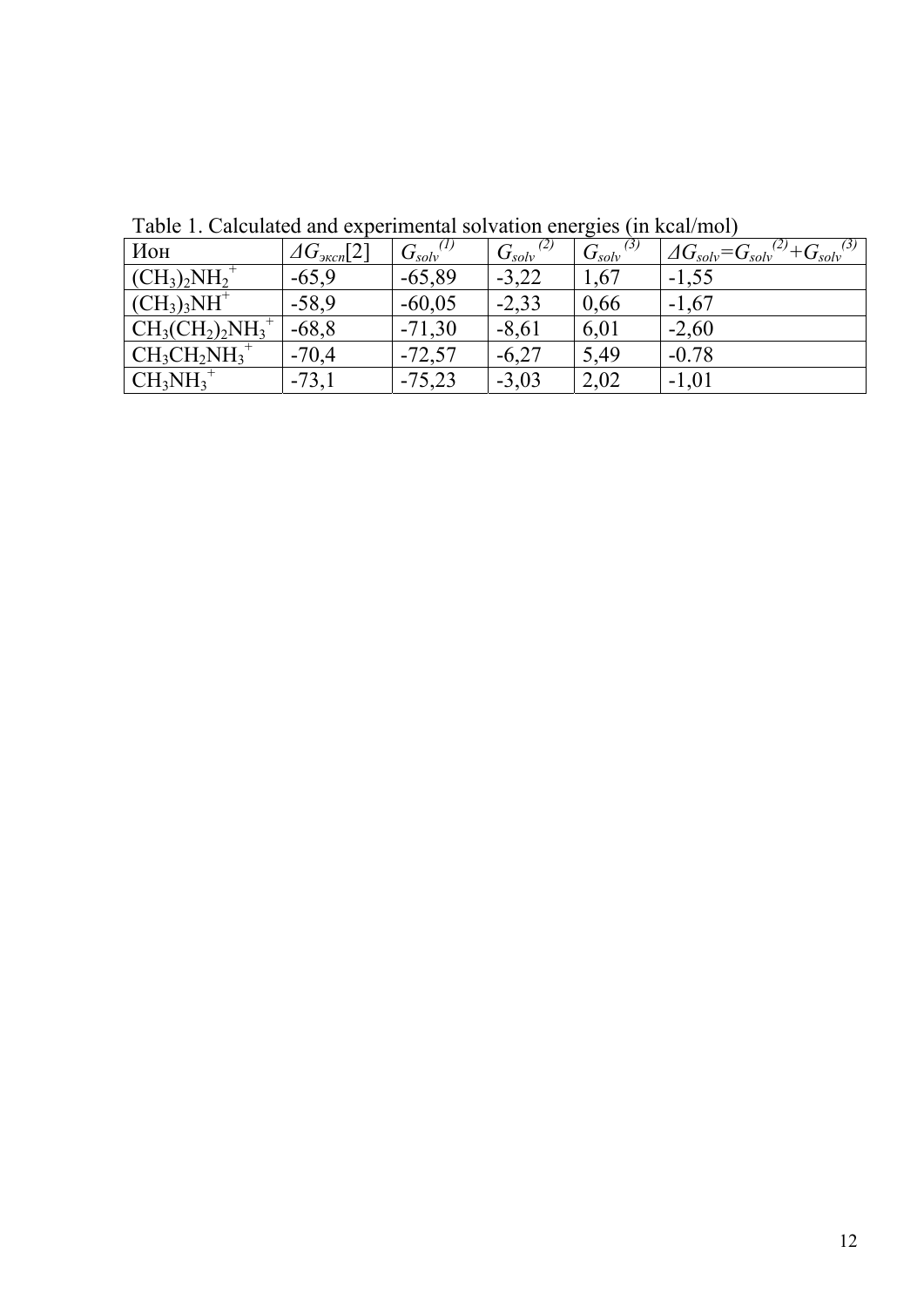| Ион                                                                  | $\varDelta G_{\text{3\kappa c}n}[2]$ | $G_{solv}^{(1)}$ | $G_{solv}^{\left( 2\right) }$ | $\left( 3\right)$<br>$G_{solv}$ | $C^{(2)} + G_{solv}^{(3)}$<br>$\Delta G_{solv} = G_{solv}$ <sup>(2)</sup> |
|----------------------------------------------------------------------|--------------------------------------|------------------|-------------------------------|---------------------------------|---------------------------------------------------------------------------|
| $\vert$ (CH <sub>3</sub> ) <sub>2</sub> NH <sub>2</sub> <sup>+</sup> | $-65,9$                              | $-65,89$         | $-3,22$                       | 1,67                            | $-1,55$                                                                   |
| $\rm (CH_3)_3NH^+$                                                   | $-58,9$                              | $-60,05$         | $-2,33$                       | 0,66                            | $-1,67$                                                                   |
| $\rm CH_3(CH_2)_2NH_3^+$                                             | $-68,8$                              | $-71,30$         | $-8,61$                       | 6,01                            | $-2,60$                                                                   |
| $\vert$ CH <sub>3</sub> CH <sub>2</sub> NH <sub>3</sub> <sup>+</sup> | $-70,4$                              | $-72,57$         | $-6,27$                       | 5,49                            | $-0.78$                                                                   |
| $CH_3NH_3^+$                                                         | $-73,1$                              | $-75,23$         | $-3,03$                       | 2,02                            | $-1,01$                                                                   |

Table 1. Calculated and experimental solvation energies (in kcal/mol)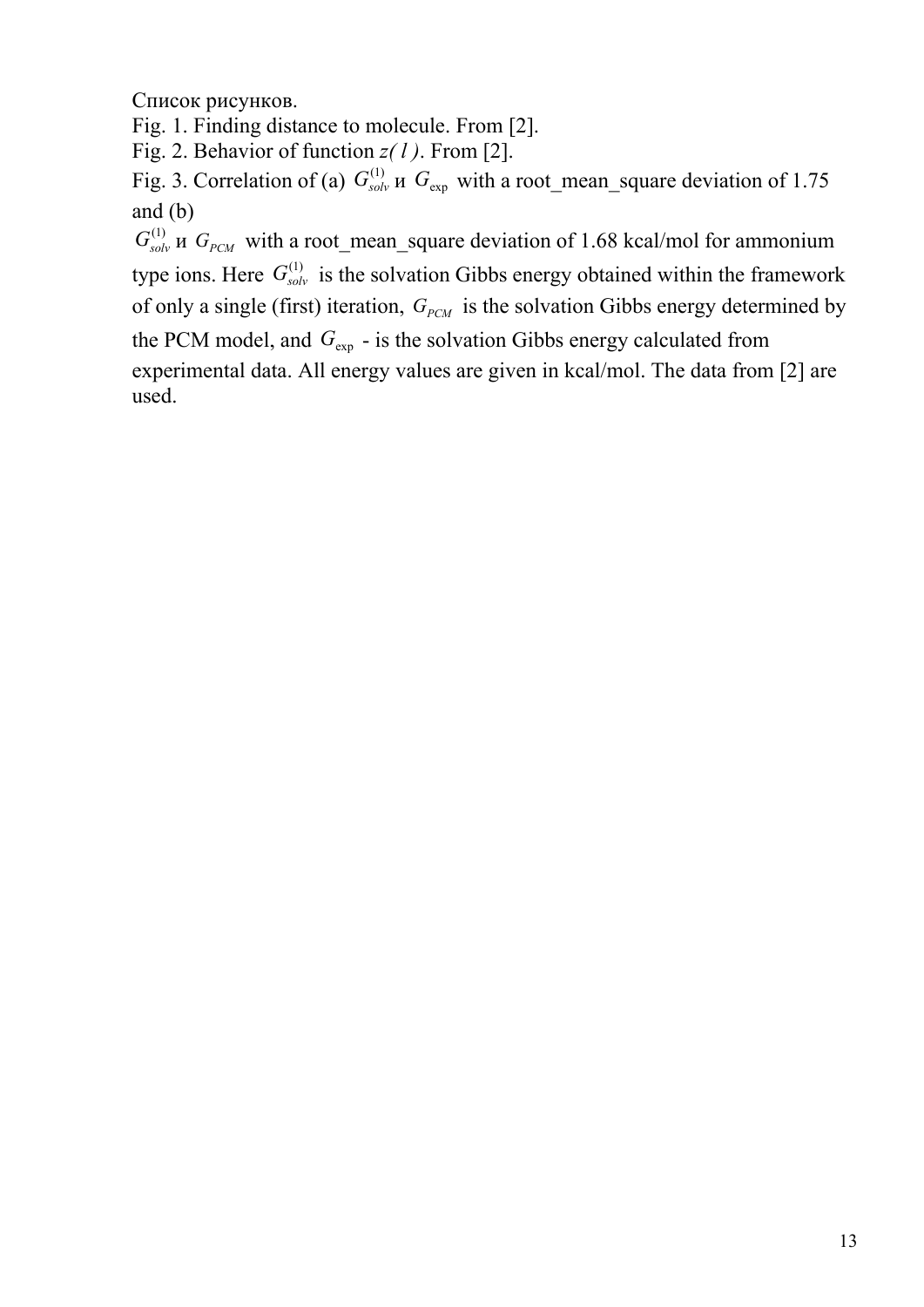Список рисунков.

Fig. 1. Finding distance to molecule. From [2].

Fig. 2. Behavior of function *z( l )*. From [2].

Fig. 3. Correlation of (a)  $G_{solv}^{(1)}$  *и*  $G_{exp}$  with a root\_mean\_square deviation of 1.75 and (b)

 $G_{solv}^{(1)}$  *u*  $G_{pCM}$  with a root\_mean\_square deviation of 1.68 kcal/mol for ammonium type ions. Here  $G_{solv}^{(1)}$  is the solvation Gibbs energy obtained within the framework of only a single (first) iteration,  $G_{PCM}$  is the solvation Gibbs energy determined by the PCM model, and  $G_{\text{exp}}$  - is the solvation Gibbs energy calculated from experimental data. All energy values are given in kcal/mol. The data from [2] are used.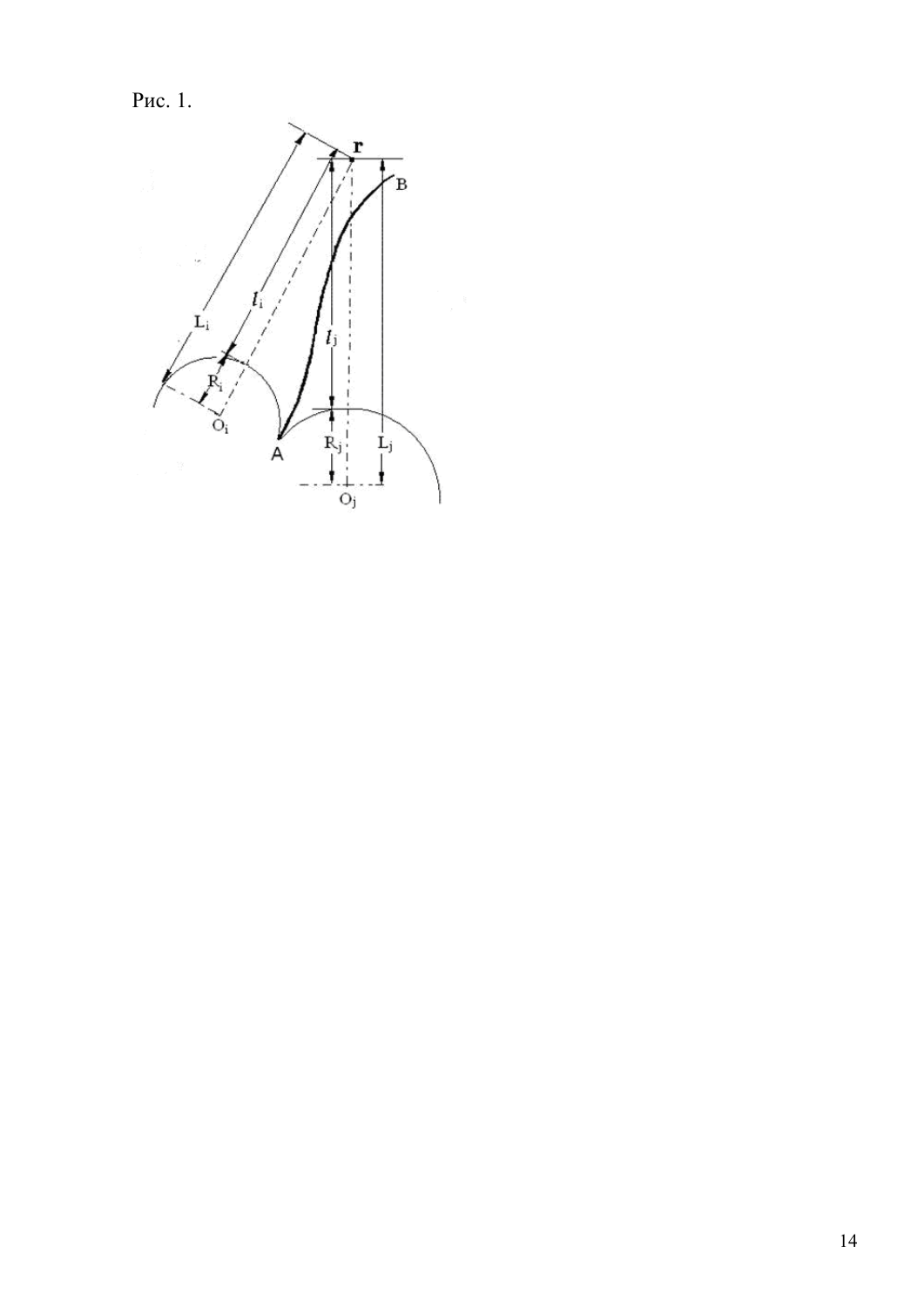Pис. 1.

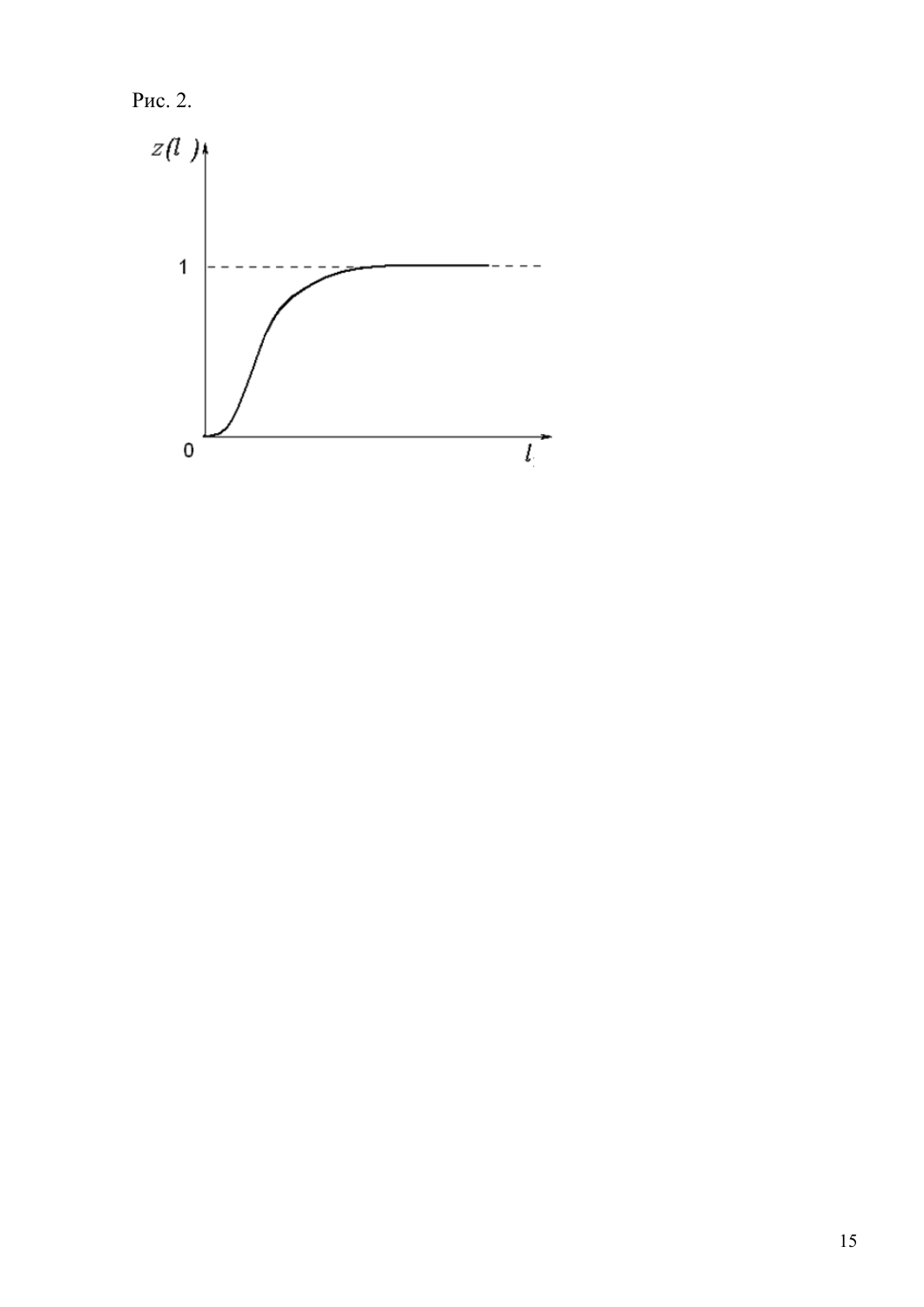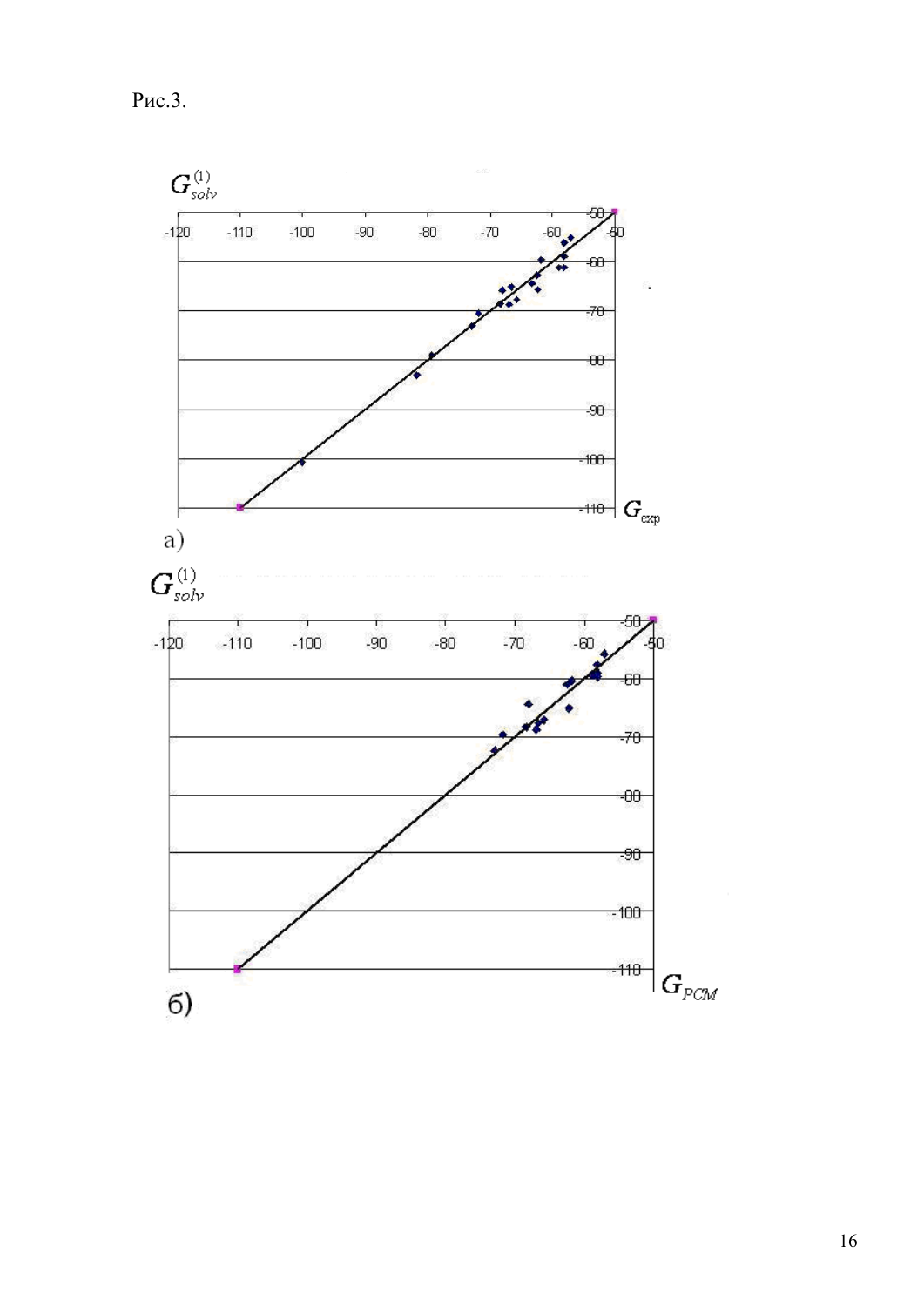$P<sub>HC.3</sub>$ .



 $16$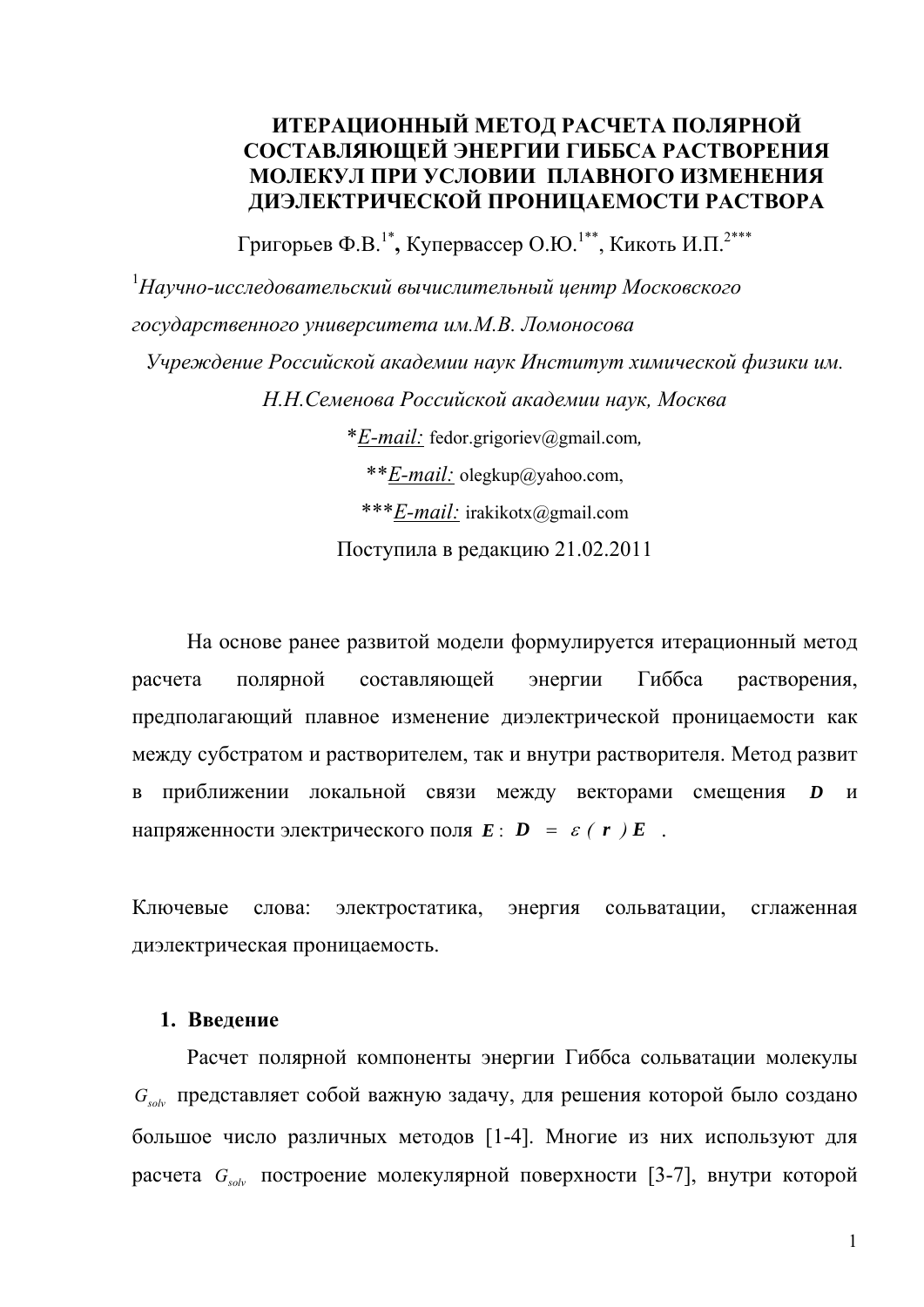# **ИТЕРАЦИОННЫЙ МЕТОД РАСЧЕТА ПОЛЯРНОЙ СОСТАВЛЯЮЩЕЙ ЭНЕРГИИ ГИББСА РАСТВОРЕНИЯ МОЛЕКУЛ ПРИ УСЛОВИИ ПЛАВНОГО ИЗМЕНЕНИЯ ДИЭЛЕКТРИЧЕСКОЙ ПРОНИЦАЕМОСТИ РАСТВОРА**

Григорьев Ф.В.<sup>1\*</sup>, Купервассер О.Ю.<sup>1\*\*</sup>, Кикоть И.П.<sup>2\*\*\*</sup>

1 *Научно-исследовательский вычислительный центр Московского государственного университета им.М.В. Ломоносова Учреждение Российской академии наук Институт химической физики им. Н.Н.Семенова Российской академии наук, Москва* \**E-mail:* fedor.grigoriev@gmail.com*,*  \*\**E-mail:* olegkup@yahoo.com, \*\*\**E-mail:* irakikotx@gmail.com Поступила в редакцию 21.02.2011

На основе ранее развитой модели формулируется итерационный метод расчета полярной составляющей энергии Гиббса растворения, предполагающий плавное изменение диэлектрической проницаемости как между субстратом и растворителем, так и внутри растворителя. Метод развит в приближении локальной связи между векторами смещения *D* и напряженности электрического поля  $E: D = \varepsilon (r) E$ .

Ключевые слова: электростатика, энергия сольватации, сглаженная диэлектрическая проницаемость.

## **1. Введение**

Расчет полярной компоненты энергии Гиббса сольватации молекулы *Gsolv* представляет собой важную задачу, для решения которой было создано большое число различных методов [1-4]. Многие из них используют для расчета *G<sub>solv</sub>* построение молекулярной поверхности [3-7], внутри которой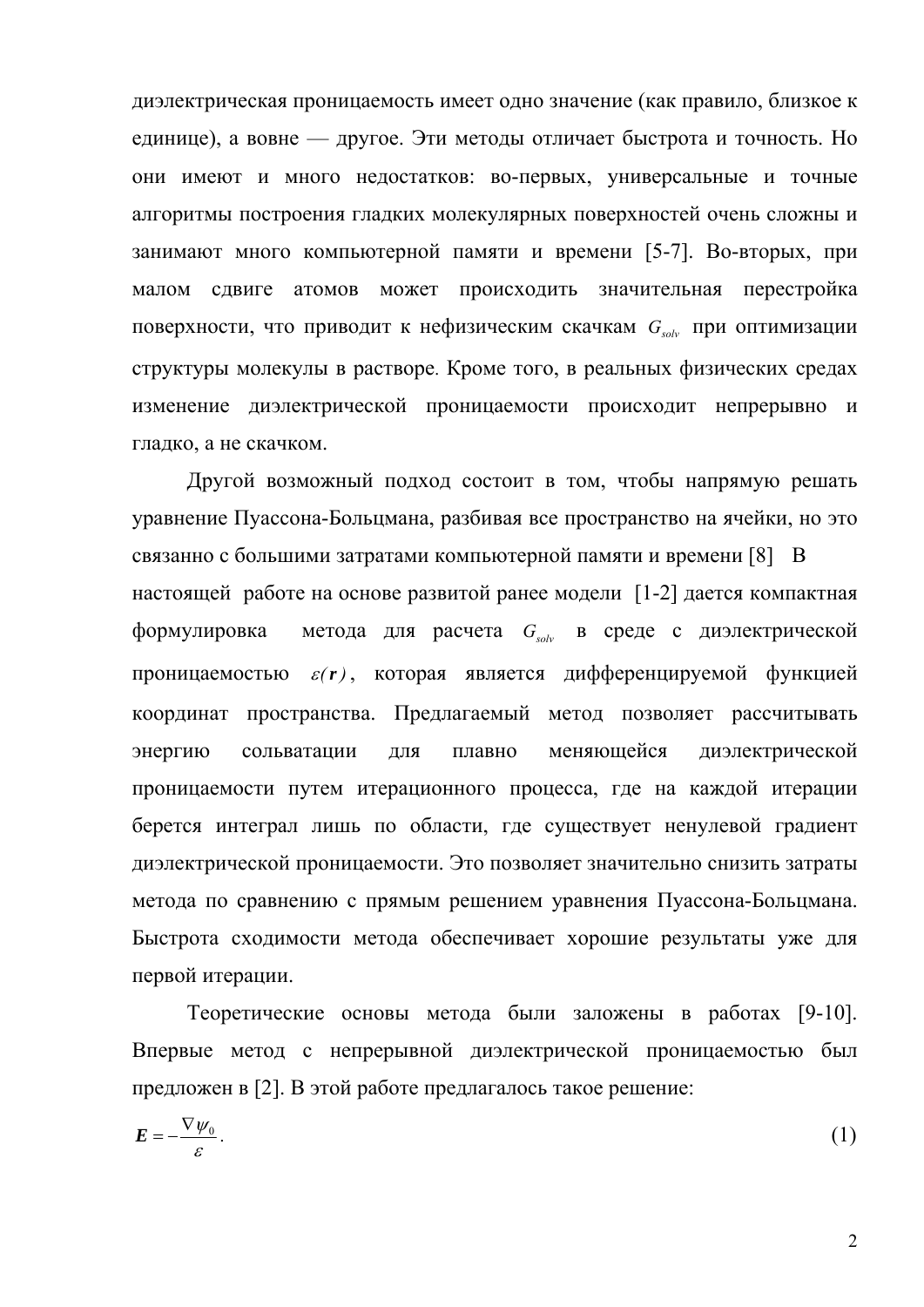диэлектрическая проницаемость имеет одно значение (как правило, близкое к единице), а вовне — другое. Эти методы отличает быстрота и точность. Но они имеют и много недостатков: во-первых, универсальные и точные алгоритмы построения гладких молекулярных поверхностей очень сложны и занимают много компьютерной памяти и времени [5-7]. Во-вторых, при малом сдвиге атомов может происходить значительная перестройка поверхности, что приводит к нефизическим скачкам G<sub>solv</sub> при оптимизации структуры молекулы в растворе. Кроме того, в реальных физических средах изменение диэлектрической проницаемости происходит непрерывно и гладко, а не скачком.

Другой возможный подход состоит в том, чтобы напрямую решать уравнение Пуассона-Больцмана, разбивая все пространство на ячейки, но это связанно с большими затратами компьютерной памяти и времени [8] В настоящей работе на основе развитой ранее модели [1-2] дается компактная формулировка метода для расчета  $G_{solv}$  в среде с диэлектрической проницаемостью  $\varepsilon(r)$ , которая является дифференцируемой функцией координат пространства. Предлагаемый метод позволяет рассчитывать энергию сольватации ДЛЯ плавно меняющейся диэлектрической проницаемости путем итерационного процесса, где на каждой итерации берется интеграл лишь по области, где существует ненулевой градиент диэлектрической проницаемости. Это позволяет значительно снизить затраты метода по сравнению с прямым решением уравнения Пуассона-Больцмана. Быстрота сходимости метода обеспечивает хорошие результаты уже для первой итерации.

Теоретические основы метода были заложены в работах [9-10]. Впервые метод с непрерывной диэлектрической проницаемостью был предложен в [2]. В этой работе предлагалось такое решение:

$$
E = -\frac{\nabla \psi_0}{\varepsilon}.
$$

 $\overline{2}$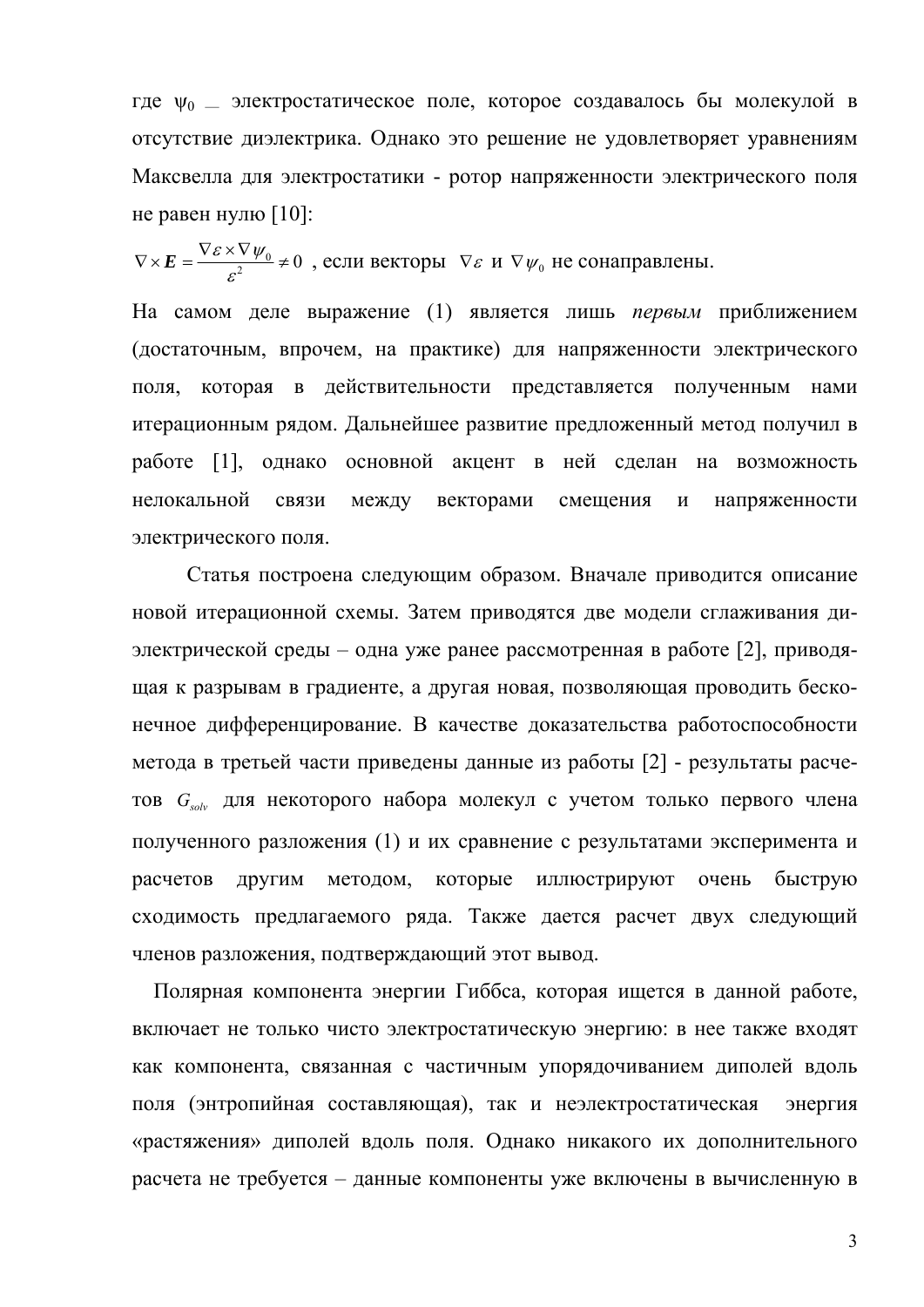где  $\psi_0$  — электростатическое поле, которое создавалось бы молекулой в отсутствие диэлектрика. Однако это решение не удовлетворяет уравнениям Максвелла для электростатики - ротор напряженности электрического поля не равен нулю [10]:

 $\nabla \times E = \frac{\nabla \varepsilon \times \nabla \psi_0}{\sigma^2} \neq 0$ , если векторы  $\nabla \varepsilon$  и  $\nabla \psi_0$  не сонаправлены.

На самом деле выражение (1) является лишь первым приближением (достаточным, впрочем, на практике) для напряженности электрического поля, которая в действительности представляется полученным нами итерационным рядом. Дальнейшее развитие предложенный метод получил в работе [1], однако основной акцент в ней сделан на возможность нелокальной между векторами связи смещения  $\boldsymbol{\mathrm{M}}$ напряженности электрического поля.

Статья построена следующим образом. Вначале приводится описание новой итерационной схемы. Затем приводятся две модели сглаживания диэлектрической среды – одна уже ранее рассмотренная в работе [2], приводящая к разрывам в градиенте, а другая новая, позволяющая проводить бесконечное дифференцирование. В качестве доказательства работоспособности метода в третьей части приведены данные из работы [2] - результаты расчетов G<sub>solv</sub> для некоторого набора молекул с учетом только первого члена полученного разложения (1) и их сравнение с результатами эксперимента и расчетов ДРУГИМ методом, которые иллюстрируют очень быструю сходимость предлагаемого ряда. Также дается расчет двух следующий членов разложения, подтверждающий этот вывод.

Полярная компонента энергии Гиббса, которая ищется в данной работе, включает не только чисто электростатическую энергию: в нее также входят как компонента, связанная с частичным упорядочиванием диполей вдоль поля (энтропийная составляющая), так и неэлектростатическая энергия «растяжения» диполей вдоль поля. Однако никакого их дополнительного расчета не требуется - данные компоненты уже включены в вычисленную в

3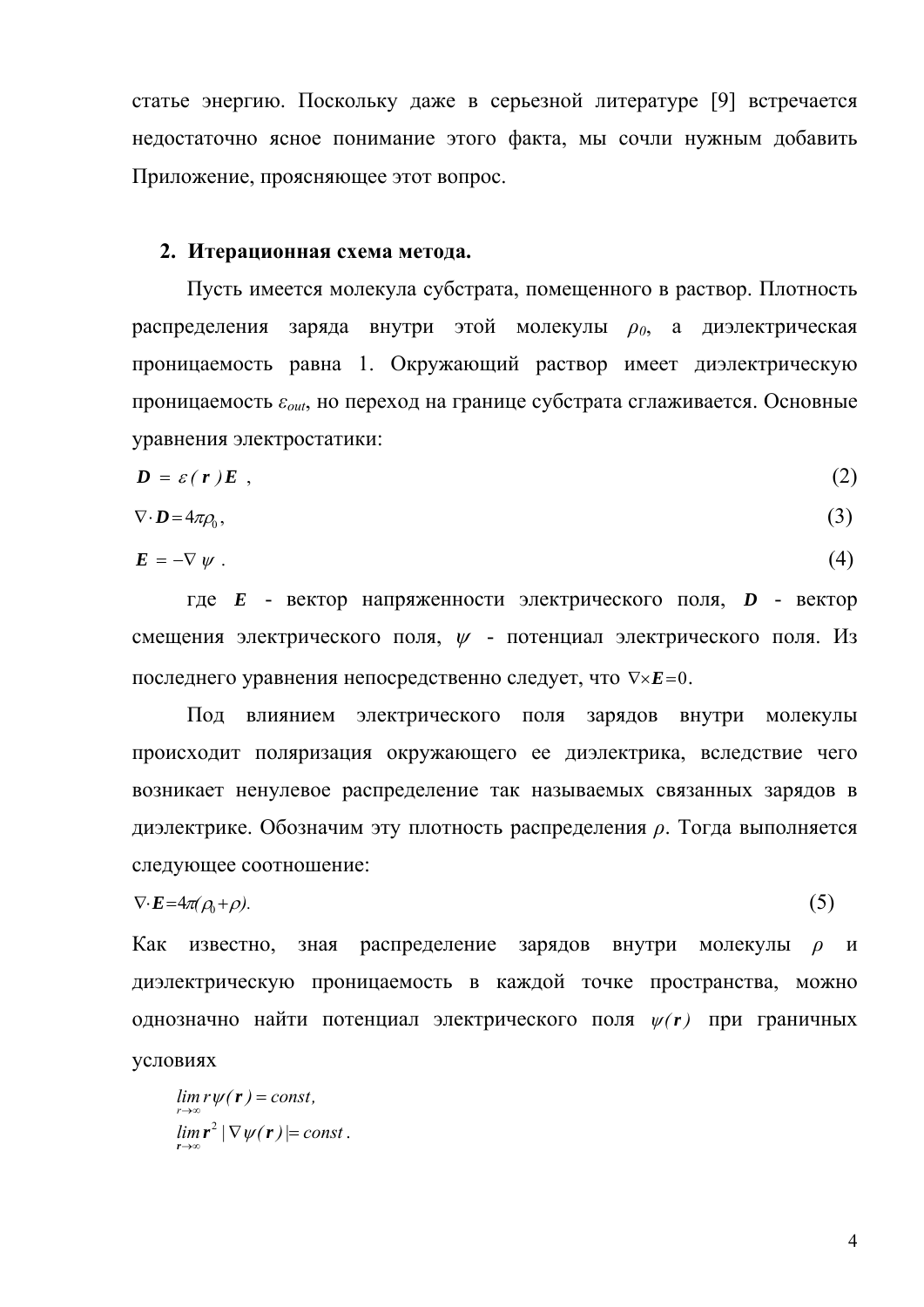статье энергию. Поскольку даже в серьезной литературе [9] встречается недостаточно ясное понимание этого факта, мы сочли нужным добавить Приложение, проясняющее этот вопрос.

#### 2. Итерационная схема метода.

Пусть имеется молекула субстрата, помещенного в раствор. Плотность распределения заряда внутри этой молекулы  $\rho_0$ , а диэлектрическая проницаемость равна 1. Окружающий раствор имеет диэлектрическую проницаемость  $\varepsilon_{out}$ , но переход на границе субстрата сглаживается. Основные уравнения электростатики:

$$
D = \varepsilon(r)E \t{2}
$$

$$
\nabla \cdot \mathbf{D} = 4\pi \rho_0,\tag{3}
$$

$$
E = -\nabla \psi \tag{4}
$$

где  $E$  - вектор напряженности электрического поля,  $D$  - вектор смещения электрического поля,  $\psi$  - потенциал электрического поля. Из последнего уравнения непосредственно следует, что  $\nabla \times E = 0$ .

Под влиянием электрического поля зарядов внутри молекулы происходит поляризация окружающего ее диэлектрика, вследствие чего возникает ненулевое распределение так называемых связанных зарядов в диэлектрике. Обозначим эту плотность распределения  $\rho$ . Тогда выполняется следующее соотношение:

$$
\nabla \cdot \mathbf{E} = 4\pi(\rho_0 + \rho). \tag{5}
$$

Как известно. зная распределение зарядов внутри молекулы  $\rho$  $\boldsymbol{\mathsf{M}}$ диэлектрическую проницаемость в каждой точке пространства, можно однозначно найти потенциал электрического поля  $\psi(r)$  при граничных условиях

 $\lim r\psi(r) = const.$  $\lim_{r \to \infty}$   $|\nabla \psi(r)| = const.$ 

 $\overline{4}$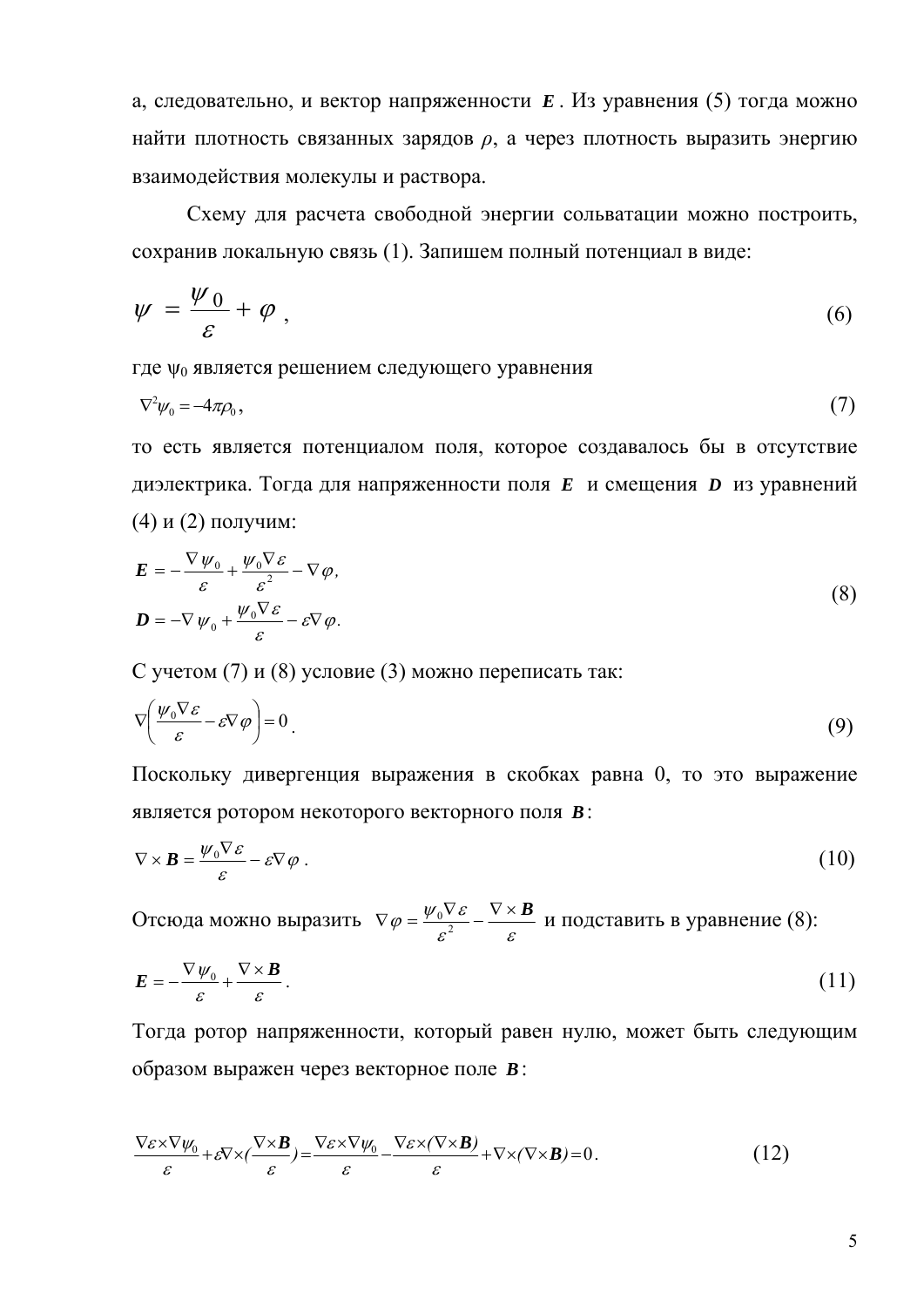а, следовательно, и вектор напряженности *E* . Из уравнения (5) тогда можно найти плотность связанных зарядов *ρ*, a через плотность выразить энергию взаимодействия молекулы и раствора.

Схему для расчета свободной энергии сольватации можно построить, сохранив локальную связь (1). Запишем полный потенциал в виде:

$$
\psi = \frac{\psi_0}{\varepsilon} + \varphi \tag{6}
$$

где  $\psi_0$  является решением следующего уравнения

$$
\nabla^2 \psi_0 = -4\pi \rho_0, \tag{7}
$$

то есть является потенциалом поля, которое создавалось бы в отсутствие диэлектрика. Тогда для напряженности поля *E* и смещения *D* из уравнений (4) и (2) получим:

$$
\mathbf{E} = -\frac{\nabla \psi_0}{\varepsilon} + \frac{\psi_0 \nabla \varepsilon}{\varepsilon^2} - \nabla \varphi,
$$
  

$$
\mathbf{D} = -\nabla \psi_0 + \frac{\psi_0 \nabla \varepsilon}{\varepsilon} - \varepsilon \nabla \varphi.
$$
 (8)

С учетом (7) и (8) условие (3) можно переписать так:

$$
\nabla \left( \frac{\psi_0 \nabla \varepsilon}{\varepsilon} - \varepsilon \nabla \varphi \right) = 0 \tag{9}
$$

Поскольку дивергенция выражения в скобках равна 0, то это выражение является ротором некоторого векторного поля *B*:

$$
\nabla \times \boldsymbol{B} = \frac{\psi_0 \nabla \varepsilon}{\varepsilon} - \varepsilon \nabla \varphi \ . \tag{10}
$$

Отсюда можно выразить  $\nabla \varphi = \frac{\varphi_0 \mathbf{v} \cdot \mathbf{v}}{\varepsilon^2} - \frac{\mathbf{v} \cdot \mathbf{v}}{\varepsilon^2}$  $\nabla \varphi = \frac{\psi_0 \nabla \varepsilon}{c^2} - \frac{\nabla \times \mathbf{B}}{c}$  и подставить в уравнение (8):

$$
E = -\frac{\nabla \psi_0}{\varepsilon} + \frac{\nabla \times \mathbf{B}}{\varepsilon} \,. \tag{11}
$$

Тогда ротор напряженности, который равен нулю, может быть следующим образом выражен через векторное поле *B*:

$$
\frac{\nabla \varepsilon \times \nabla \psi_0}{\varepsilon} + \varepsilon \nabla \times (\frac{\nabla \times \mathbf{B}}{\varepsilon}) = \frac{\nabla \varepsilon \times \nabla \psi_0}{\varepsilon} - \frac{\nabla \varepsilon \times (\nabla \times \mathbf{B})}{\varepsilon} + \nabla \times (\nabla \times \mathbf{B}) = 0.
$$
 (12)

5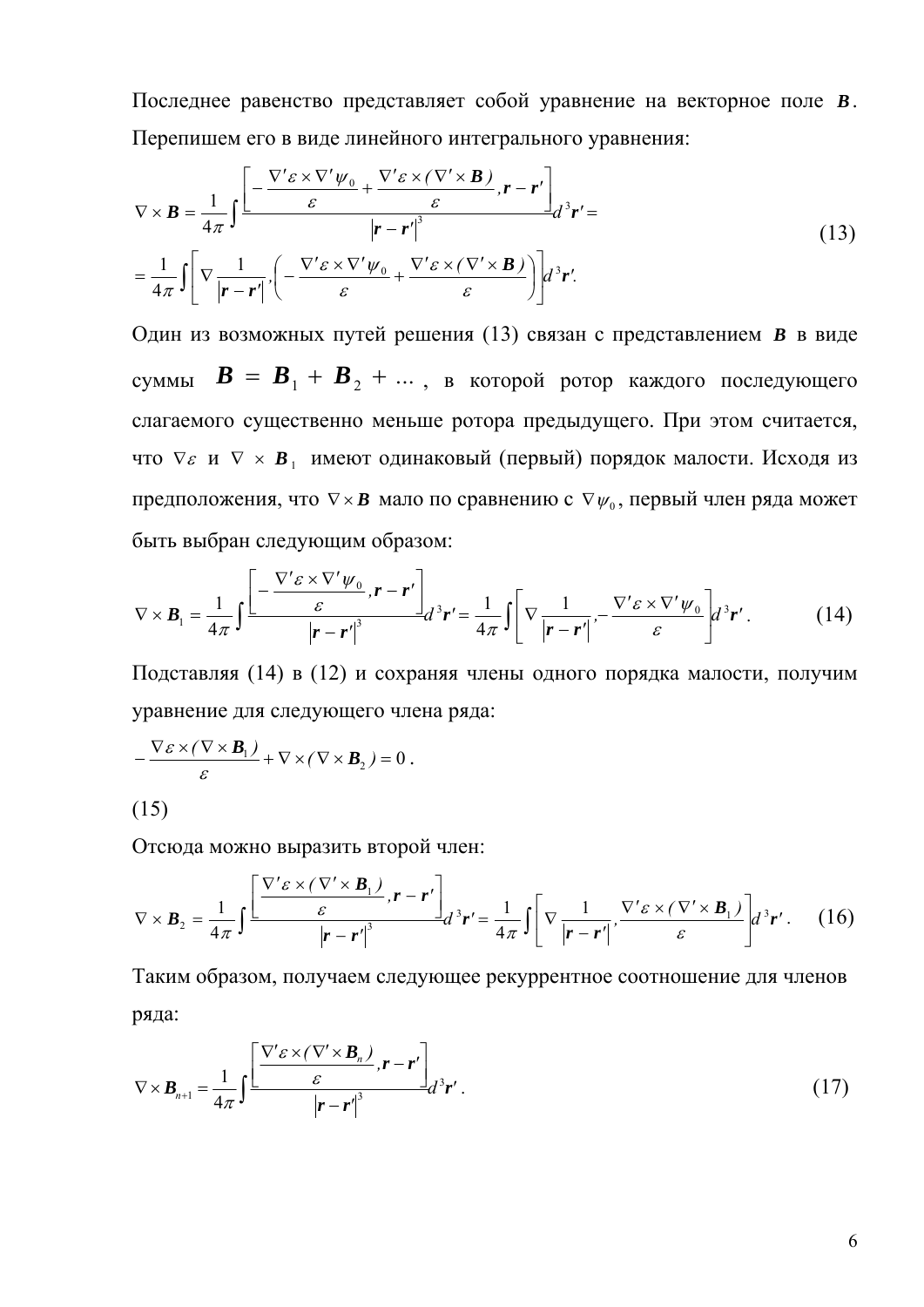Последнее равенство представляет собой уравнение на векторное поле В. Перепишем его в виде линейного интегрального уравнения:

$$
\nabla \times \mathbf{B} = \frac{1}{4\pi} \int \frac{\left[ -\frac{\nabla' \varepsilon \times \nabla' \psi_0}{\varepsilon} + \frac{\nabla' \varepsilon \times (\nabla' \times \mathbf{B})}{\varepsilon}, \mathbf{r} - \mathbf{r}' \right]}{\left| \mathbf{r} - \mathbf{r}' \right|^3} d^3 \mathbf{r}' =
$$
\n
$$
= \frac{1}{4\pi} \int \left[ \nabla \frac{1}{|\mathbf{r} - \mathbf{r}'|} \left( -\frac{\nabla' \varepsilon \times \nabla' \psi_0}{\varepsilon} + \frac{\nabla' \varepsilon \times (\nabla' \times \mathbf{B})}{\varepsilon} \right) \right] d^3 \mathbf{r}'.
$$
\n(13)

Один из возможных путей решения (13) связан с представлением В в виде суммы  $\boldsymbol{B} = \boldsymbol{B}_1 + \boldsymbol{B}_2 + \dots$ , в которой ротор каждого последующего слагаемого существенно меньше ротора предыдущего. При этом считается, что  $\nabla \varepsilon$  и  $\nabla \times \mathbf{B}$ , имеют одинаковый (первый) порядок малости. Исходя из предположения, что  $\nabla \times \mathbf{B}$  мало по сравнению с  $\nabla \psi$ , первый член ряда может быть выбран следующим образом:

$$
\nabla \times \boldsymbol{B}_1 = \frac{1}{4\pi} \int \frac{\left[ -\frac{\nabla' \varepsilon \times \nabla' \psi_0}{\varepsilon}, \boldsymbol{r} - \boldsymbol{r}' \right]}{\left| \boldsymbol{r} - \boldsymbol{r}' \right|^3} d^3 \boldsymbol{r}' = \frac{1}{4\pi} \int \left[ \nabla \frac{1}{\left| \boldsymbol{r} - \boldsymbol{r}' \right|}, -\frac{\nabla' \varepsilon \times \nabla' \psi_0}{\varepsilon} \right] d^3 \boldsymbol{r}'.
$$
 (14)

Подставляя (14) в (12) и сохраняя члены одного порядка малости, получим уравнение для следующего члена ряда:

$$
-\frac{\nabla \varepsilon \times (\nabla \times \mathbf{B}_1)}{\varepsilon} + \nabla \times (\nabla \times \mathbf{B}_2) = 0.
$$
\n(15)

Отсюда можно выразить второй член:

$$
\nabla \times \boldsymbol{B}_2 = \frac{1}{4\pi} \int \frac{\left[\frac{\nabla' \varepsilon \times (\nabla' \times \boldsymbol{B}_1)}{\varepsilon}, \boldsymbol{r} - \boldsymbol{r}'\right]}{\left|\boldsymbol{r} - \boldsymbol{r}'\right|^3} d^3 \boldsymbol{r}' = \frac{1}{4\pi} \int \left[\nabla \frac{1}{\left|\boldsymbol{r} - \boldsymbol{r}'\right|}, \frac{\nabla' \varepsilon \times (\nabla' \times \boldsymbol{B}_1)}{\varepsilon}\right] d^3 \boldsymbol{r}'. \quad (16)
$$

Таким образом, получаем следующее рекуррентное соотношение для членов ряда:

$$
\nabla \times \boldsymbol{B}_{n+1} = \frac{1}{4\pi} \int \frac{\left[ \frac{\nabla' \varepsilon \times (\nabla' \times \boldsymbol{B}_n)}{\varepsilon} \cdot \boldsymbol{r} - \boldsymbol{r}' \right]}{\left| \boldsymbol{r} - \boldsymbol{r}' \right|^3} d^3 \boldsymbol{r}'.
$$
 (17)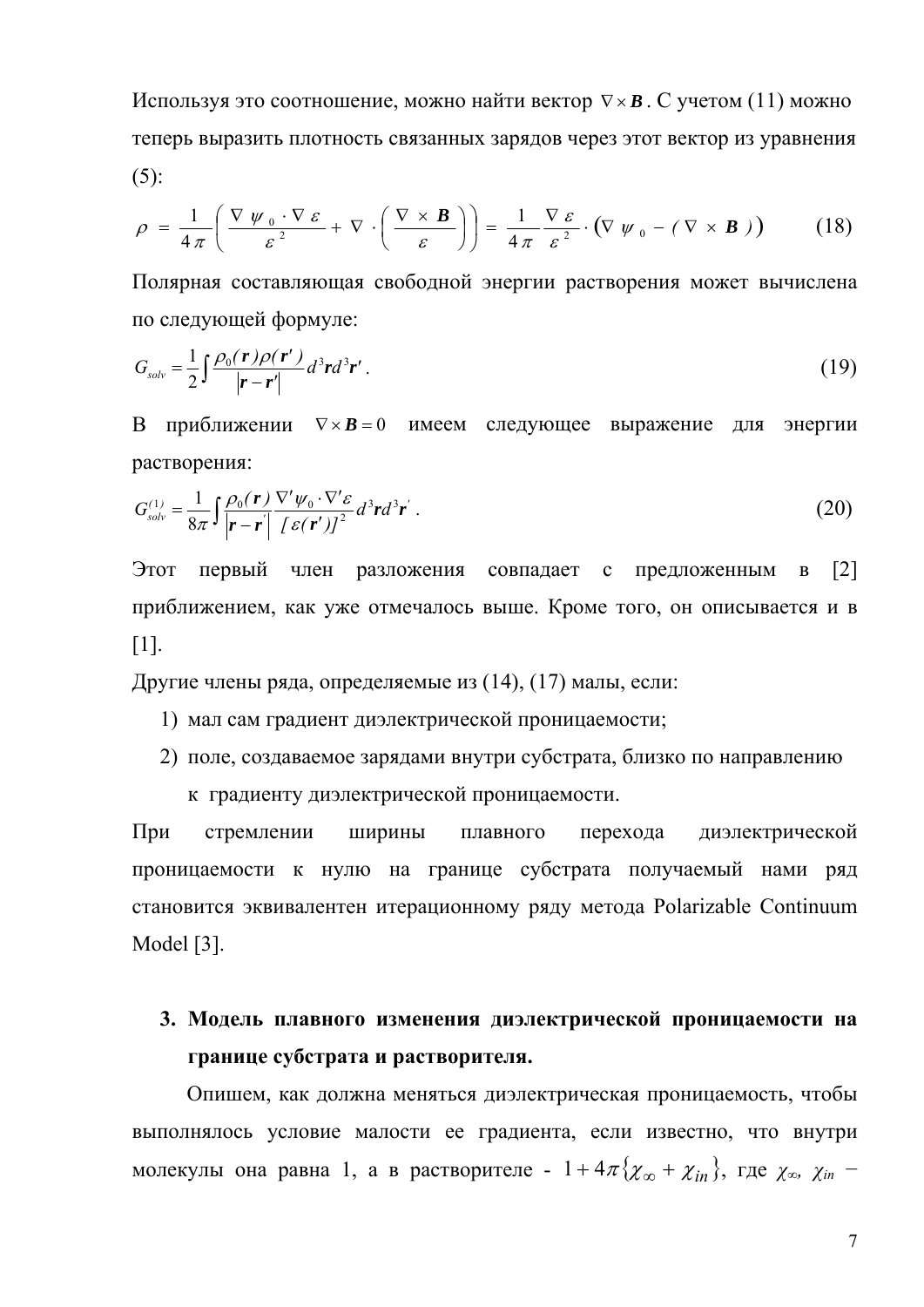Используя это соотношение, можно найти вектор  $\nabla \times \mathbf{B}$ . С учетом (11) можно теперь выразить плотность связанных зарядов через этот вектор из уравнения  $(5)$ :

$$
\rho = \frac{1}{4\pi} \left( \frac{\nabla \psi_0 \cdot \nabla \varepsilon}{\varepsilon^2} + \nabla \cdot \left( \frac{\nabla \times \mathbf{B}}{\varepsilon} \right) \right) = \frac{1}{4\pi} \frac{\nabla \varepsilon}{\varepsilon^2} \cdot (\nabla \psi_0 - (\nabla \times \mathbf{B})) \tag{18}
$$

Полярная составляющая свободной энергии растворения может вычислена по следующей формуле:

$$
G_{solv} = \frac{1}{2} \int \frac{\rho_0(\mathbf{r}) \rho(\mathbf{r}')}{|\mathbf{r} - \mathbf{r}'|} d^3 \mathbf{r} d^3 \mathbf{r}' \,. \tag{19}
$$

В приближении  $\nabla \times \mathbf{B} = 0$  имеем следующее выражение для энергии растворения:

$$
G_{solv}^{(1)} = \frac{1}{8\pi} \int \frac{\rho_0(\mathbf{r})}{|\mathbf{r} - \mathbf{r}'|} \frac{\nabla' \psi_0 \cdot \nabla' \varepsilon}{[\varepsilon(\mathbf{r}')]^2} d^3 \mathbf{r} d^3 \mathbf{r}' . \tag{20}
$$

Этот первый член разложения совпадает с  $\lceil 2 \rceil$ предложенным приближением, как уже отмечалось выше. Кроме того, он описывается и в  $\lceil 1 \rceil$ .

Другие члены ряда, определяемые из (14), (17) малы, если:

- 1) мал сам градиент диэлектрической проницаемости;
- 2) поле, создаваемое зарядами внутри субстрата, близко по направлению

к градиенту диэлектрической проницаемости.

При стремлении ШИРИНЫ плавного перехода диэлектрической проницаемости к нулю на границе субстрата получаемый нами ряд становится эквивалентен итерационному ряду метода Polarizable Continuum Model [3].

# 3. Модель плавного изменения диэлектрической проницаемости на границе субстрата и растворителя.

Опишем, как должна меняться диэлектрическая проницаемость, чтобы выполнялось условие малости ее градиента, если известно, что внутри молекулы она равна 1, а в растворителе -  $1+4\pi \{\chi_{\infty} + \chi_{in}\}\$ , где  $\chi_{\infty}$ ,  $\chi_{in}$  -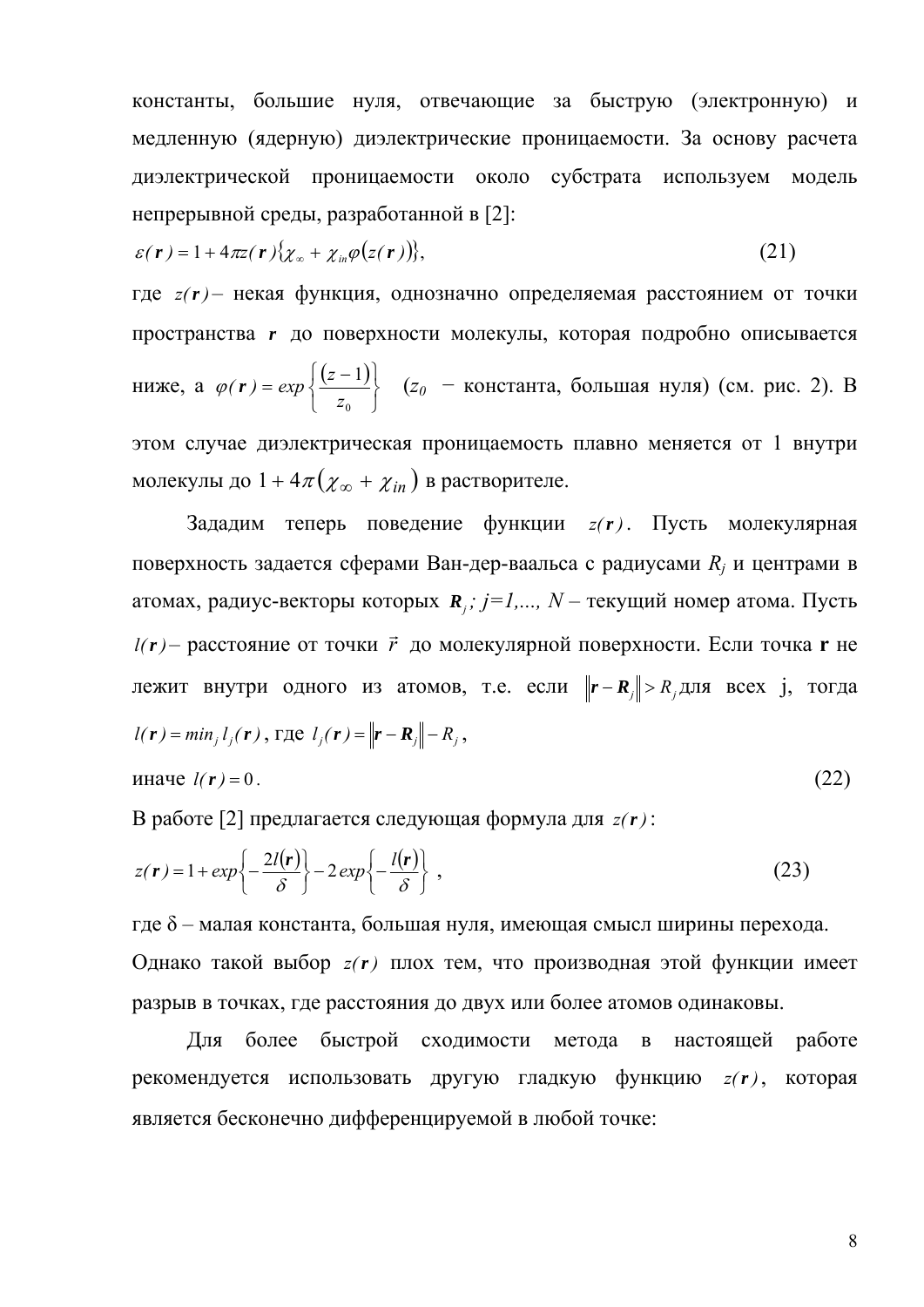константы, большие нуля, отвечающие за быструю (электронную) и медленную (ядерную) диэлектрические проницаемости. За основу расчета диэлектрической проницаемости около субстрата используем модель непрерывной среды, разработанной в [2]:

$$
\varepsilon(\mathbf{r}) = 1 + 4\pi \mathbf{z}(\mathbf{r}) \{\chi_{\infty} + \chi_{in} \varphi(z(\mathbf{r}))\},\tag{21}
$$

где *z(r)* – некая функция, однозначно определяемая расстоянием от точки пространства r до поверхности молекулы, которая подробно описывается ниже, а  $\varphi(r) = exp \left\{ \frac{(z-1)}{z_0} \right\}$  ( $z_0$  – константа, большая нуля) (см. рис. 2). В этом случае диэлектрическая проницаемость плавно меняется от 1 внутри молекулы до  $1 + 4\pi(\chi_{\infty} + \chi_{in})$  в растворителе.

Зададим теперь поведение функции  $z(r)$ . Пусть молекулярная поверхность задается сферами Ван-дер-ваальса с радиусами  $R_i$  и центрами в атомах, радиус-векторы которых  $\mathbf{R}_i$ ;  $j=1,..., N$  – текущий номер атома. Пусть  $l(r)$  – расстояние от точки  $\vec{r}$  до молекулярной поверхности. Если точка **r** не лежит внутри одного из атомов, т.е. если  $||\mathbf{r} - \mathbf{R}_j|| > R_j$ для всех ј, тогда  $l(r) = min_j l_j(r)$ , rne  $l_j(r) = ||r - R_j|| - R_j$ ,

$$
0.22 \text{ m} \cdot \ln(1/r) = 0.1 \text{ m} \cdot \ln(2r) \cdot \ln(2r) \cdot \ln(2r) \cdot \ln(2r) \cdot \ln(2r) \cdot \ln(2r) \cdot \ln(2r) \cdot \ln(2r) \cdot \ln(2r) \cdot \ln(2r) \cdot \ln(2r) \cdot \ln(2r) \cdot \ln(2r) \cdot \ln(2r) \cdot \ln(2r) \cdot \ln(2r) \cdot \ln(2r) \cdot \ln(2r) \cdot \ln(2r) \cdot \ln(2r) \cdot \ln(2r) \cdot \ln(2r) \cdot \ln(2r) \cdot \ln(2r) \cdot \ln(2r) \cdot \ln(2r) \cdot \ln(2r) \cdot \ln(2r) \cdot \ln(2r) \cdot \ln(2r) \cdot \ln(2r) \cdot \ln(2r) \cdot \ln(2r) \cdot \ln(2r) \cdot \ln(2r) \cdot \ln(2r) \cdot \ln(2r) \cdot \ln(2r) \cdot \ln(2r) \cdot \ln(2r) \cdot \ln(2r) \cdot \ln(2r) \cdot \ln(2r) \cdot \ln(2r) \cdot \ln(2r) \cdot \ln(2r) \cdot \ln(2r) \cdot \ln(2r) \cdot \ln(2r) \cdot \ln(2r) \cdot \ln(2r) \cdot \ln(2r) \cdot \ln(2r) \cdot \ln(2r) \cdot \ln(2r) \cdot \ln(2r) \cdot \ln(2r) \cdot \ln(2r) \cdot \ln(2r) \cdot \ln(2r) \cdot \ln(2r) \cdot \ln(2r) \cdot \ln(2r) \cdot \ln(2r) \cdot \ln(2r) \cdot \ln(2r) \cdot \ln(2r) \cdot \ln(2r) \cdot \ln(2r) \cdot \ln(2r) \cdot \ln(2r) \cdot \ln(2r) \cdot \ln(2r) \cdot \ln(2r) \cdot \ln(2r) \cdot \ln(2r) \cdot \ln(2r) \cdot \ln(2r) \cdot \ln(2r) \cdot \ln(2r) \cdot \ln(2r) \cdot \ln(2r) \cdot \ln(2r) \cdot \ln(2r) \cdot \ln(2r) \cdot \ln(2r) \cdot \ln(2r) \cdot \ln(2r) \cdot \ln(2r) \cdot \ln(2r) \cdot \ln(2r) \cdot \ln
$$

В работе [2] предлагается следующая формула для  $z(r)$ :

$$
z(\mathbf{r}) = 1 + exp\left\{-\frac{2l(\mathbf{r})}{\delta}\right\} - 2exp\left\{-\frac{l(\mathbf{r})}{\delta}\right\},
$$
\n(23)

где  $\delta$  – малая константа, большая нуля, имеющая смысл ширины перехода. Однако такой выбор  $z(r)$  плох тем, что производная этой функции имеет разрыв в точках, где расстояния до двух или более атомов одинаковы.

более быстрой сходимости метода в настоящей работе Лля рекомендуется использовать другую гладкую функцию  $z(r)$ , которая является бесконечно дифференцируемой в любой точке: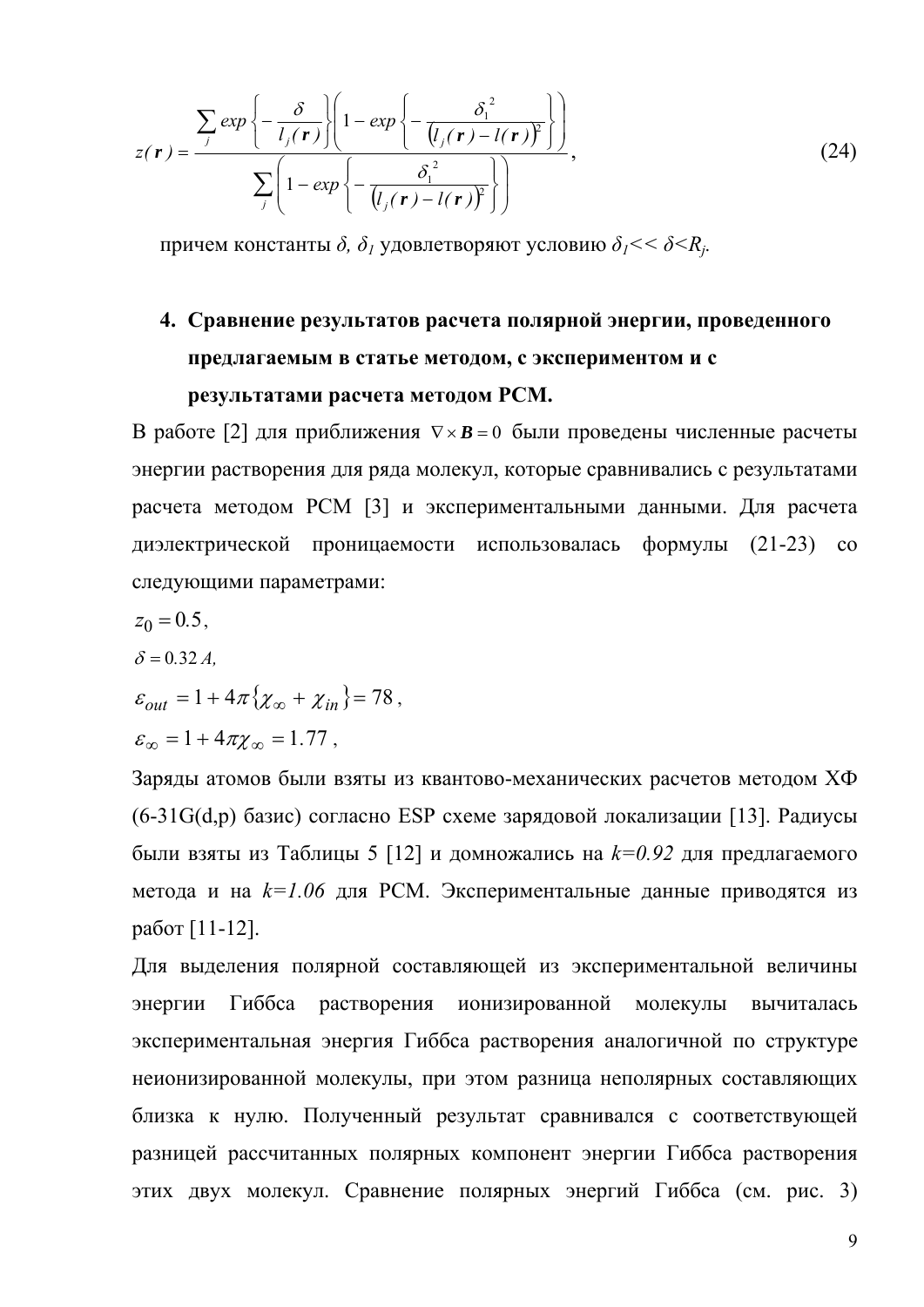$$
z(\mathbf{r}) = \frac{\sum_{j} exp\left\{-\frac{\delta}{l_{j}(\mathbf{r})}\right\}\left(1 - exp\left\{-\frac{\delta_{1}^{2}}{(l_{j}(\mathbf{r}) - l(\mathbf{r}))^{2}}\right\}\right)}{\sum_{j}\left(1 - exp\left\{-\frac{\delta_{1}^{2}}{(l_{j}(\mathbf{r}) - l(\mathbf{r}))^{2}}\right\}\right)},
$$
\n(24)

причем константы  $\delta$ ,  $\delta_l$  удовлетворяют условию  $\delta_l$  < <  $\delta$  <  $R_i$ .

# 4. Сравнение результатов расчета полярной энергии, проведенного предлагаемым в статье методом, с экспериментом и с результатами расчета методом РСМ.

В работе [2] для приближения  $\nabla \times \mathbf{B} = 0$  были проведены численные расчеты энергии растворения для ряда молекул, которые сравнивались с результатами расчета методом РСМ [3] и экспериментальными данными. Для расчета диэлектрической проницаемости использовалась формулы (21-23) со следующими параметрами:

$$
z_0=0.5,
$$

$$
\delta = 0.32 A
$$

$$
\delta = 0.32 A,
$$
  
\n
$$
\varepsilon_{out} = 1 + 4\pi \{ \chi_{\infty} + \chi_{in} \} = 78,
$$

$$
\varepsilon_{\infty}=1+4\pi\chi_{\infty}=1.77\ ,
$$

Заряды атомов были взяты из квантово-механических расчетов методом ХФ (6-31G(d,p) базис) согласно ESP схеме зарядовой локализации [13]. Радиусы были взяты из Таблицы 5 [12] и домножались на  $k=0.92$  для предлагаемого метода и на  $k=1.06$  для РСМ. Экспериментальные данные приводятся из работ [11-12].

Для выделения полярной составляющей из экспериментальной величины Гиббса растворения ионизированной энергии молекулы вычиталась экспериментальная энергия Гиббса растворения аналогичной по структуре неионизированной молекулы, при этом разница неполярных составляющих близка к нулю. Полученный результат сравнивался с соответствующей разницей рассчитанных полярных компонент энергии Гиббса растворения этих двух молекул. Сравнение полярных энергий Гиббса (см. рис. 3)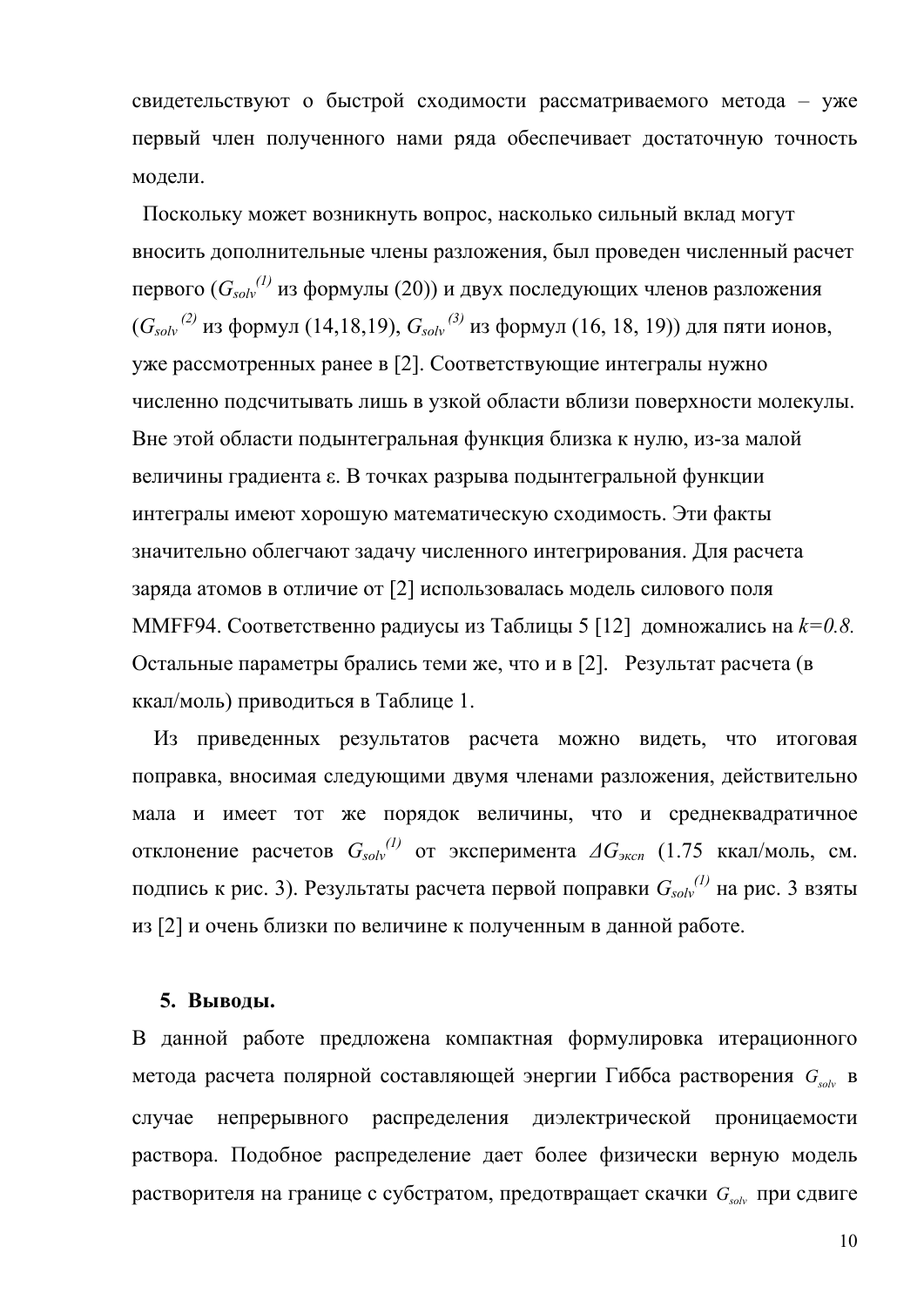свидетельствуют о быстрой сходимости рассматриваемого метода - уже первый член полученного нами ряда обеспечивает достаточную точность модели.

Поскольку может возникнуть вопрос, насколько сильный вклад могут вносить дополнительные члены разложения, был проведен численный расчет первого ( $G_{solv}^{(1)}$  из формулы (20)) и двух последующих членов разложения  $(G_{solv}^{(2)}$  из формул (14,18,19),  $G_{solv}^{(3)}$  из формул (16, 18, 19)) для пяти ионов, уже рассмотренных ранее в [2]. Соответствующие интегралы нужно численно подсчитывать лишь в узкой области вблизи поверхности молекулы. Вне этой области подынтегральная функция близка к нулю, из-за малой величины градиента  $\varepsilon$ . В точках разрыва подынтегральной функции интегралы имеют хорошую математическую сходимость. Эти факты значительно облегчают задачу численного интегрирования. Для расчета заряда атомов в отличие от [2] использовалась модель силового поля ММFF94. Соответственно радиусы из Таблицы 5 [12] домножались на  $k=0.8$ . Остальные параметры брались теми же, что и в [2]. Результат расчета (в ккал/моль) приводиться в Таблице 1.

Из приведенных результатов расчета можно видеть, что итоговая поправка, вносимая следующими двумя членами разложения, действительно мала и имеет тот же порядок величины, что и среднеквадратичное отклонение расчетов  $G_{solv}^{(1)}$  от эксперимента  $\Delta G_{skon}$  (1.75 ккал/моль, см. подпись к рис. 3). Результаты расчета первой поправки  $G_{solv}^{(1)}$  на рис. 3 взяты из [2] и очень близки по величине к полученным в данной работе.

#### 5. Выводы.

В данной работе предложена компактная формулировка итерационного метода расчета полярной составляющей энергии Гиббса растворения  $G_{\text{obs}}$  в случае непрерывного распределения диэлектрической проницаемости раствора. Подобное распределение дает более физически верную модель растворителя на границе с субстратом, предотвращает скачки  $G_{solv}$  при сдвиге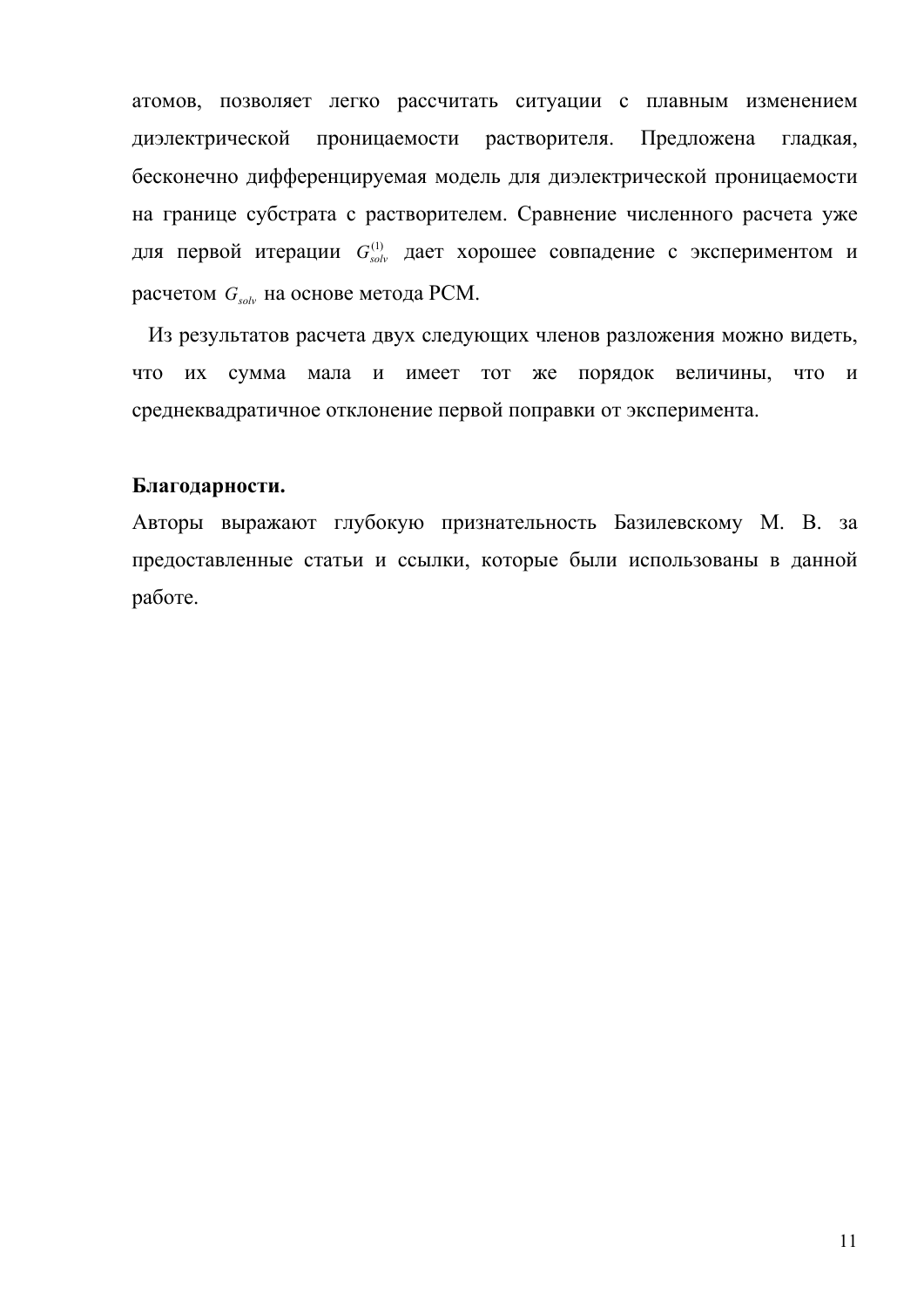атомов, позволяет легко рассчитать ситуации с плавным изменением диэлектрической проницаемости растворителя. Предложена гладкая, бесконечно дифференцируемая модель для диэлектрической проницаемости на границе субстрата с растворителем. Сравнение численного расчета уже для первой итерации  $G_{solv}^{(1)}$  дает хорошее совпадение с экспериментом и расчетом  $G_{solv}$  на основе метода РСМ.

 Из результатов расчета двух следующих членов разложения можно видеть, что их сумма мала и имеет тот же порядок величины, что и среднеквадратичное отклонение первой поправки от эксперимента.

#### **Благодарности.**

Авторы выражают глубокую признательность Базилевскому М. В. за предоставленные статьи и ссылки, которые были использованы в данной работе.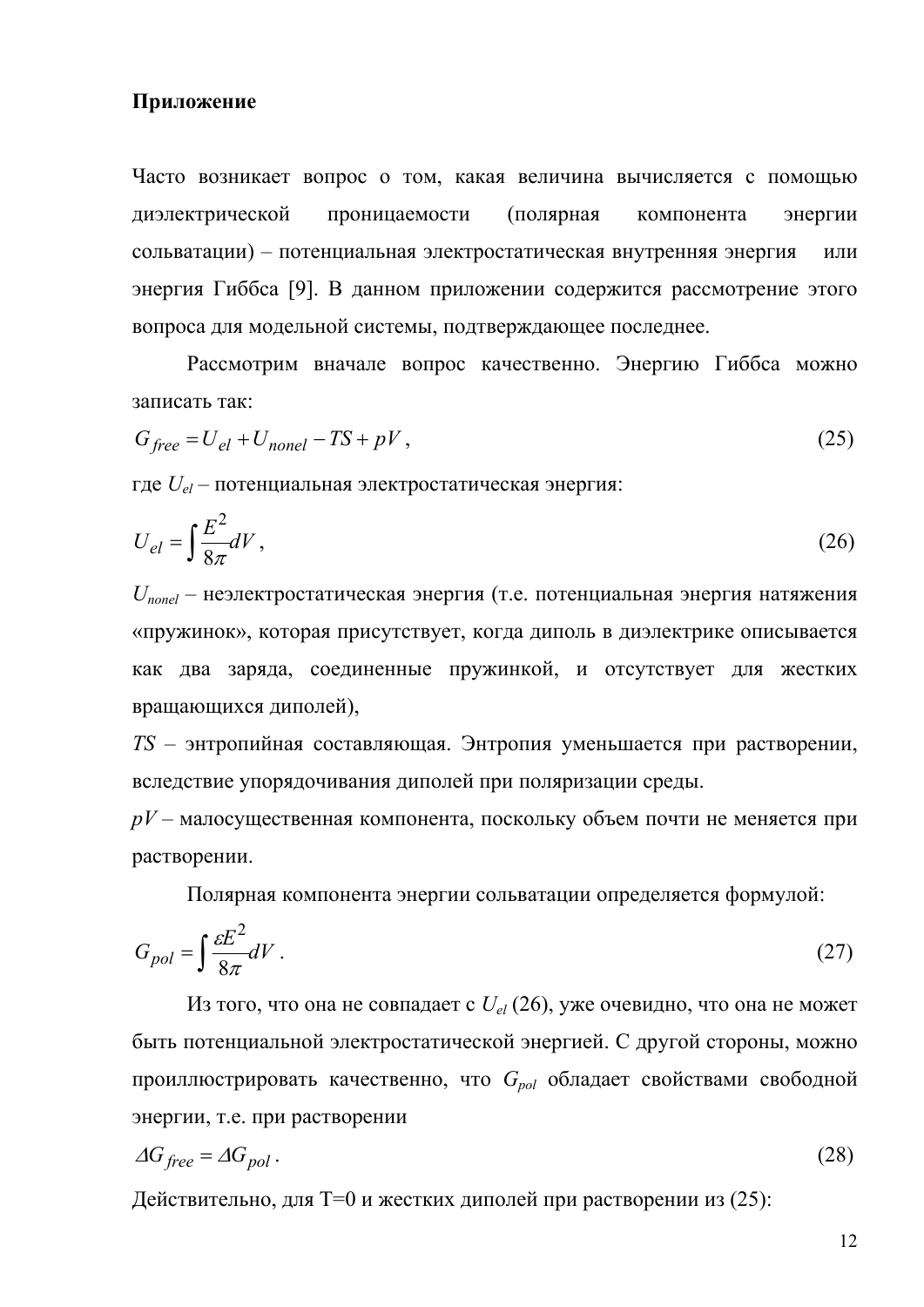### **Приложение**

Часто возникает вопрос о том, какая величина вычисляется с помощью диэлектрической проницаемости (полярная компонента энергии сольватации) – потенциальная электростатическая внутренняя энергия или энергия Гиббса [9]. В данном приложении содержится рассмотрение этого вопроса для модельной системы, подтверждающее последнее.

Рассмотрим вначале вопрос качественно. Энергию Гиббса можно записать так:

$$
G_{free} = U_{el} + U_{nonel} - TS + pV, \qquad (25)
$$

где *Uel* – потенциальная электростатическая энергия:

$$
U_{el} = \int \frac{E^2}{8\pi} dV \,,\tag{26}
$$

*Unonel* – неэлектростатическая энергия (т.е. потенциальная энергия натяжения «пружинок», которая присутствует, когда диполь в диэлектрике описывается как два заряда, соединенные пружинкой, и отсутствует для жестких вращающихся диполей),

*TS* – энтропийная составляющая. Энтропия уменьшается при растворении, вследствие упорядочивания диполей при поляризации среды.

*pV* – малосущественная компонента, поскольку объем почти не меняется при растворении.

Полярная компонента энергии сольватации определяется формулой:

$$
G_{pol} = \int \frac{\varepsilon E^2}{8\pi} dV \,. \tag{27}
$$

Из того, что она не совпадает с  $U_{el}$  (26), уже очевидно, что она не может быть потенциальной электростатической энергией. С другой стороны, можно проиллюстрировать качественно, что G<sub>pol</sub> обладает свойствами свободной энергии, т.е. при растворении

$$
\Delta G_{free} = \Delta G_{pol} \,. \tag{28}
$$

Действительно, для Т=0 и жестких диполей при растворении из (25):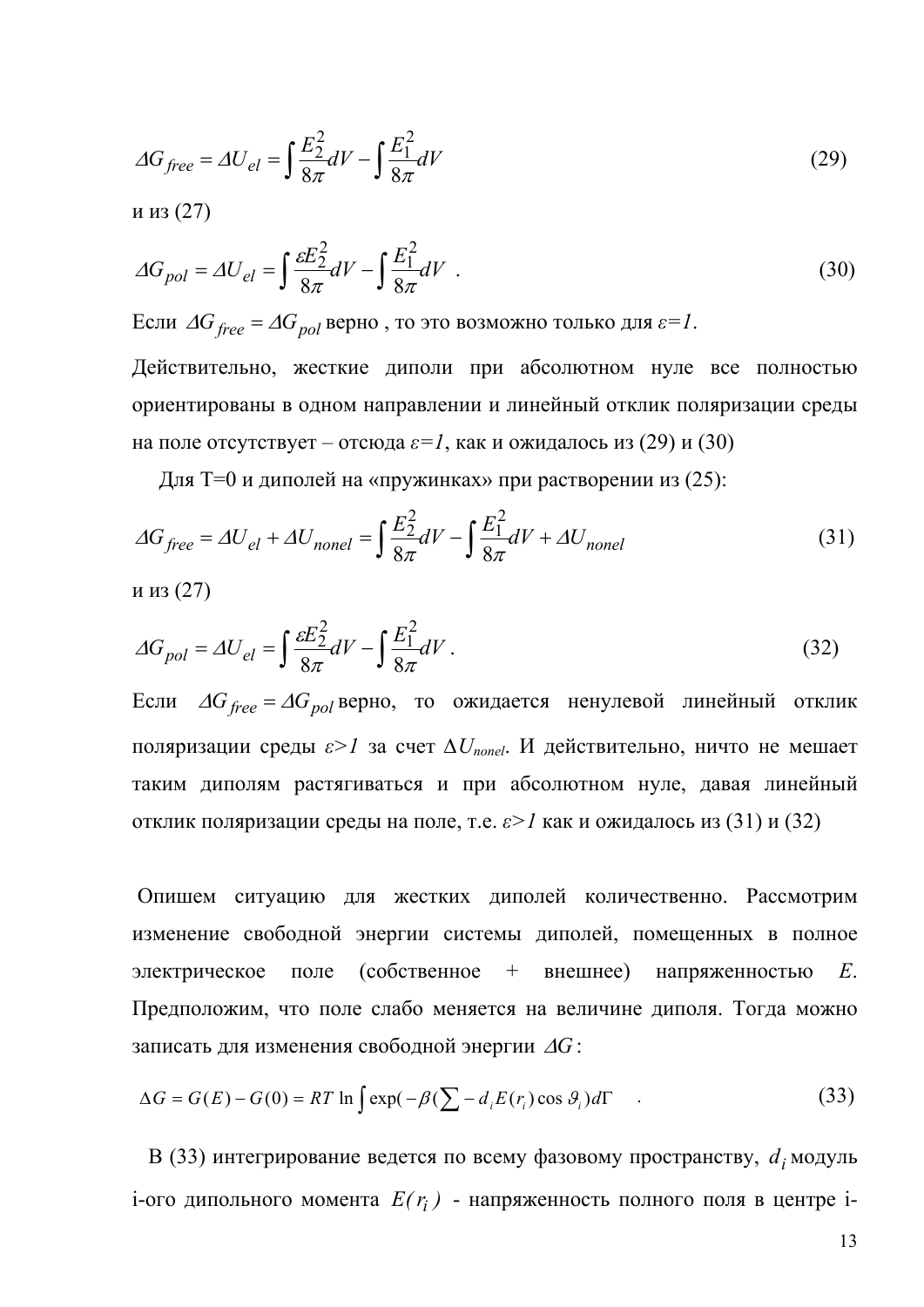$$
\Delta G_{free} = \Delta U_{el} = \int \frac{E_2^2}{8\pi} dV - \int \frac{E_1^2}{8\pi} dV \tag{29}
$$

и из (27)

$$
\Delta G_{pol} = \Delta U_{el} = \int \frac{\varepsilon E_2^2}{8\pi} dV - \int \frac{E_1^2}{8\pi} dV \tag{30}
$$

Если  $\Delta G_{free} = \Delta G_{pol}$  верно, то это возможно только для  $\varepsilon = l$ . Действительно, жесткие диполи при абсолютном нуле все полностью ориентированы в одном направлении и линейный отклик поляризации среды

на поле отсутствует – отсюда  $\varepsilon = 1$ , как и ожидалось из (29) и (30)

Для T=0 и диполей на «пружинках» при растворении из (25):

$$
\Delta G_{free} = \Delta U_{el} + \Delta U_{nonel} = \int \frac{E_2^2}{8\pi} dV - \int \frac{E_1^2}{8\pi} dV + \Delta U_{nonel}
$$
(31)

и из (27)

$$
\Delta G_{pol} = \Delta U_{el} = \int \frac{\varepsilon E_2^2}{8\pi} dV - \int \frac{E_1^2}{8\pi} dV \,. \tag{32}
$$

Если  $\Delta G_{free} = \Delta G_{pol}$ верно, то ожидается ненулевой линейный отклик поляризации среды  $\varepsilon > 1$  за счет  $\Delta U_{nonel}$ . И действительно, ничто не мешает таким диполям растягиваться и при абсолютном нуле, давая линейный отклик поляризации среды на поле, т.е.  $\varepsilon > 1$  как и ожидалось из (31) и (32)

Опишем ситуацию для жестких диполей количественно. Рассмотрим изменение свободной энергии системы диполей, помещенных в полное *(собственное*  $+$ внешнее) напряженностью электрическое поле  $E_{\parallel}$ Предположим, что поле слабо меняется на величине диполя. Тогда можно записать для изменения свободной энергии  $\Delta G$ :

$$
\Delta G = G(E) - G(0) = RT \ln \int \exp(-\beta (\sum - d_i E(r_i) \cos \theta_i) d\Gamma \tag{33}
$$

В (33) интегрирование ведется по всему фазовому пространству,  $d_i$  модуль і-ого дипольного момента  $E(r_i)$  - напряженность полного поля в центре і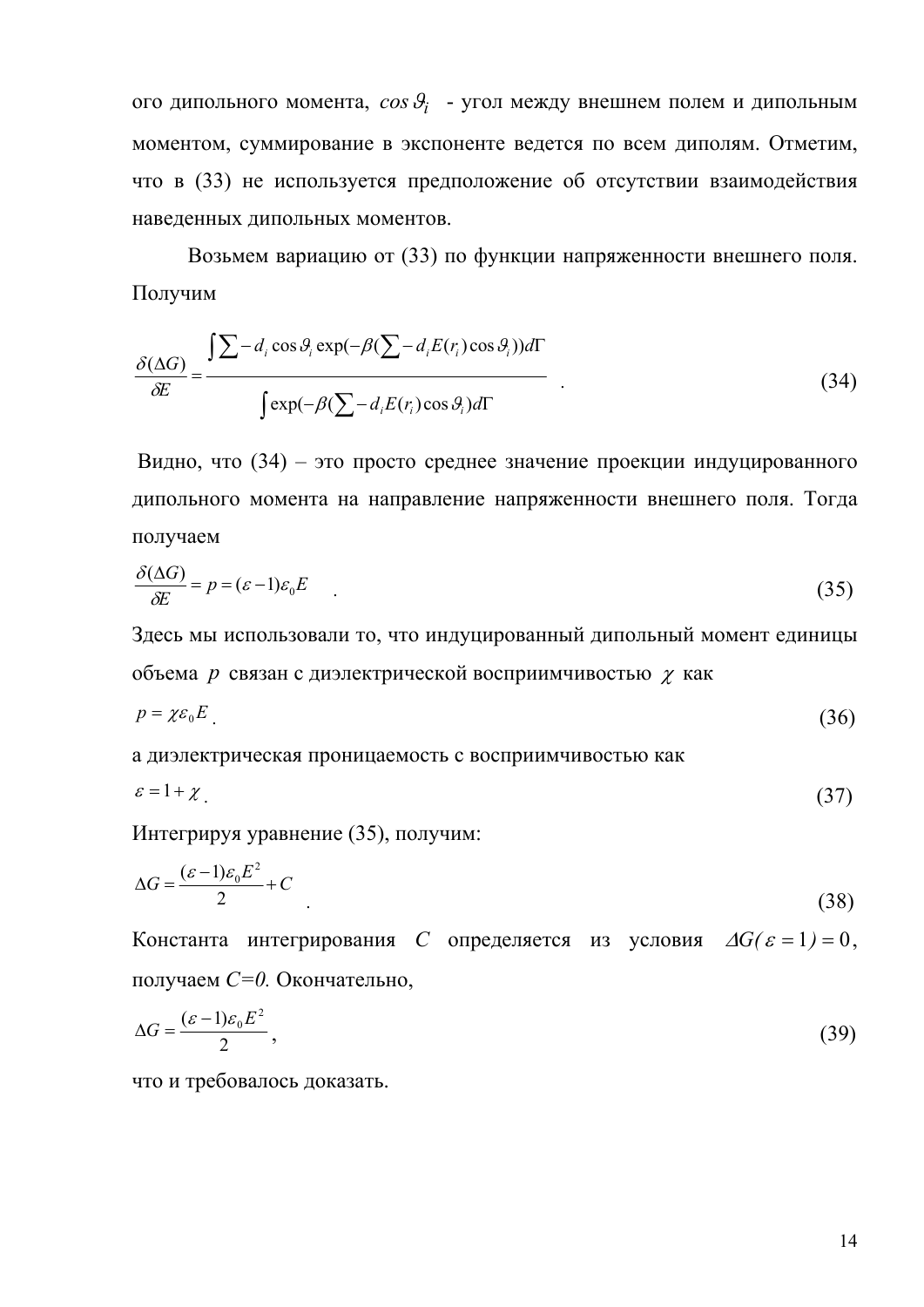ого дипольного момента,  $cos\theta_i$  - угол между внешнем полем и дипольным моментом, суммирование в экспоненте ведется по всем диполям. Отметим, что в (33) не используется предположение об отсутствии взаимодействия наведенных дипольных моментов.

Возьмем вариацию от (33) по функции напряженности внешнего поля. Получим

$$
\frac{\delta(\Delta G)}{\delta E} = \frac{\int \sum -d_i \cos \theta_i \exp(-\beta (\sum -d_i E(r_i) \cos \theta_i)) d\Gamma}{\int \exp(-\beta (\sum -d_i E(r_i) \cos \theta_i) d\Gamma} \tag{34}
$$

Видно, что (34) - это просто среднее значение проекции индуцированного дипольного момента на направление напряженности внешнего поля. Тогда получаем

$$
\frac{\delta(\Delta G)}{\delta E} = p = (\varepsilon - 1)\varepsilon_0 E \tag{35}
$$

Здесь мы использовали то, что индуцированный дипольный момент единицы объема р связан с диэлектрической восприимчивостью  $\chi$  как

$$
p = \chi \varepsilon_0 E \tag{36}
$$

а диэлектрическая проницаемость с восприимчивостью как

$$
\varepsilon = 1 + \chi \tag{37}
$$

Интегрируя уравнение (35), получим:

$$
\Delta G = \frac{(\varepsilon - 1)\varepsilon_0 E^2}{2} + C \tag{38}
$$

Константа интегрирования С определяется из условия  $\Delta G(\varepsilon = 1) = 0$ . получаем С=0. Окончательно,

$$
\Delta G = \frac{(\varepsilon - 1)\varepsilon_0 E^2}{2},\tag{39}
$$

что и требовалось доказать.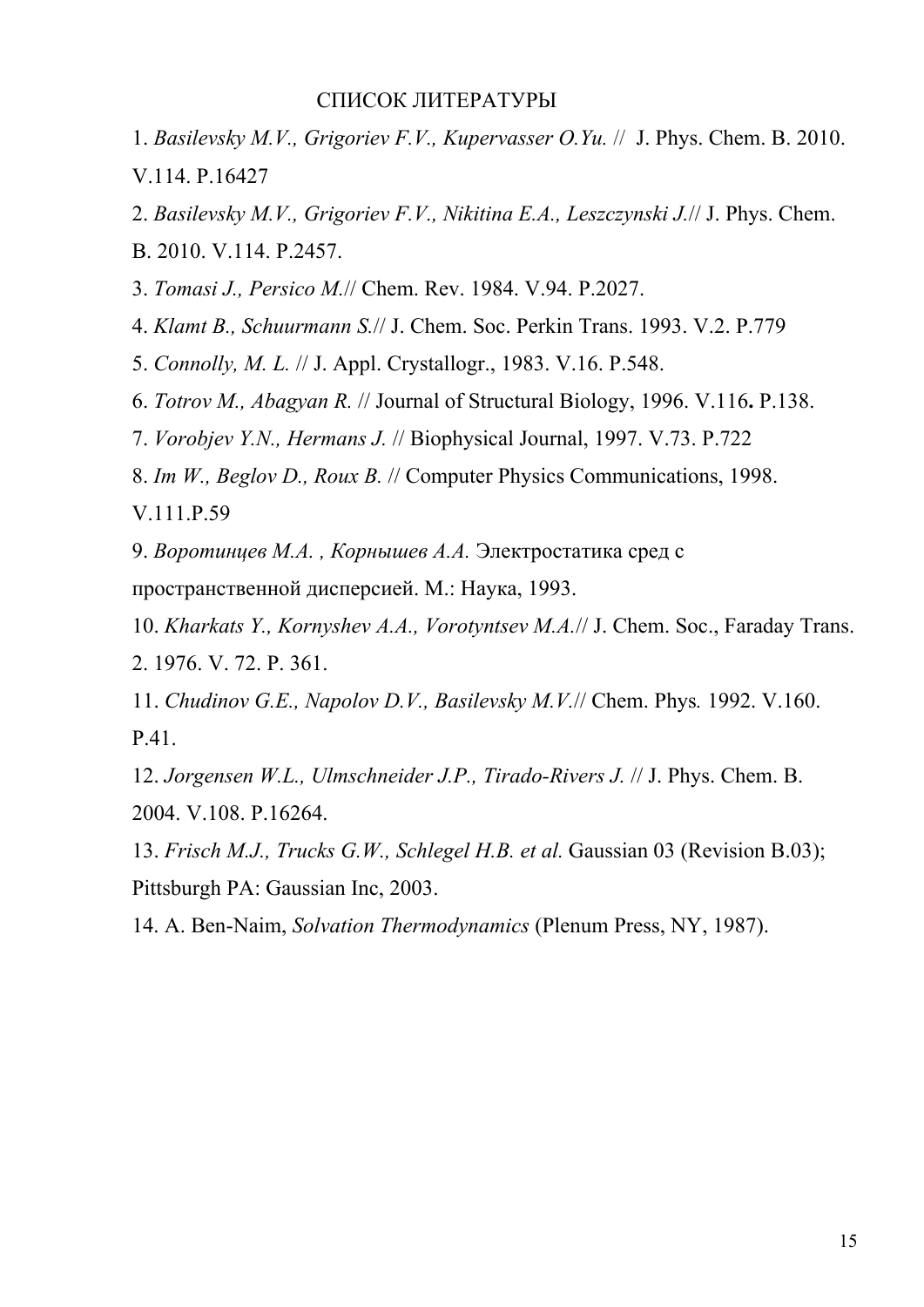## СПИСОК ЛИТЕРАТУРЫ

1. *Basilevsky M.V., Grigoriev F.V., Kupervasser O.Yu.* // J. Phys. Chem. B. 2010. V.114. P.16427

2. *Basilevsky M.V., Grigoriev F.V., Nikitina E.A., Leszczynski J.*// J. Phys. Chem.

B. 2010. V.114. P.2457.

3. *Tomasi J., Persico M.*// Chem. Rev. 1984. V.94. P.2027.

4. *Klamt B., Schuurmann S.*// J. Chem. Soc. Perkin Trans. 1993. V.2. P.779

5. *Connolly, M. L.* // J. Appl. Crystallogr., 1983. V.16. P.548.

6. *Totrov M., Abagyan R.* // Journal of Structural Biology, 1996. V.116**.** P.138.

7. *Vorobjev Y.N., Hermans J.* // Biophysical Journal, 1997. V.73. P.722

8. *Im W., Beglov D., Roux B.* // Computer Physics Communications, 1998.

V.111.P.59

9. *Воротинцев М.А. , Корнышев А.А.* Электростатика сред с

пространственной дисперсией. М.: Наука, 1993.

10. *Kharkats Y., Kornyshev A.A., Vorotyntsev M.A.*// J. Chem. Soc., Faraday Trans. 2. 1976. V. 72. P. 361.

11. *Chudinov G.E., Napolov D.V., Basilevsky M.V.*// Chem. Phys*.* 1992. V.160. P.41.

12. *Jorgensen W.L., Ulmschneider J.P., Tirado-Rivers J.* // J. Phys. Chem. B. 2004. V.108. P.16264.

13. *Frisch M.J., Trucks G.W., Schlegel H.B. et al.* Gaussian 03 (Revision B.03); Pittsburgh PA: Gaussian Inc, 2003.

14. A. Ben-Naim, *Solvation Thermodynamics* (Plenum Press, NY, 1987).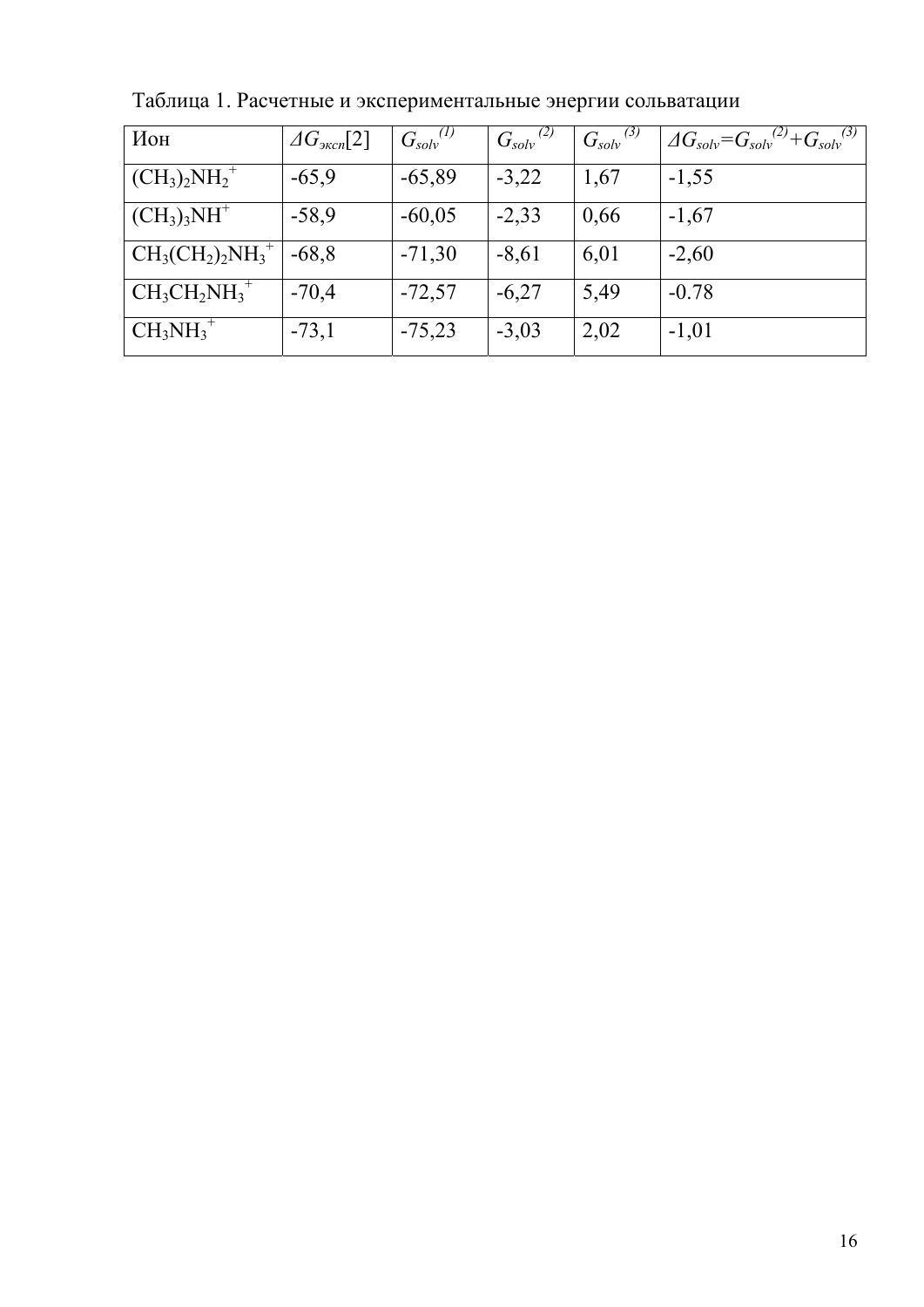| Ион                  | $\varDelta G_{\text{3kcn}}[2]$ | $G_{solv}^{(1)}$ | $G_{solv}^{(2)}$ | $G_{solv}^{(3)}$ | $\Delta G_{solv} = G_{solv}^{(2)} + G_{solv}^{(3)}$ |
|----------------------|--------------------------------|------------------|------------------|------------------|-----------------------------------------------------|
| $\rm (CH_3)_2NH_2^+$ | $-65,9$                        | $-65,89$         | $-3,22$          | 1,67             | $-1,55$                                             |
| $(CH_3)_3NH^+$       | $-58,9$                        | $-60,05$         | $-2,33$          | 0,66             | $-1,67$                                             |
| $CH_3CH_2)_2NH_3^+$  | $-68,8$                        | $-71,30$         | $-8,61$          | 6,01             | $-2,60$                                             |
| $CH_3CH_2NH_3^+$     | $-70,4$                        | $-72,57$         | $-6,27$          | 5,49             | $-0.78$                                             |
| $CH_3NH_3^+$         | $-73,1$                        | $-75,23$         | $-3,03$          | 2,02             | $-1,01$                                             |

Таблица 1. Расчетные и экспериментальные энергии сольватации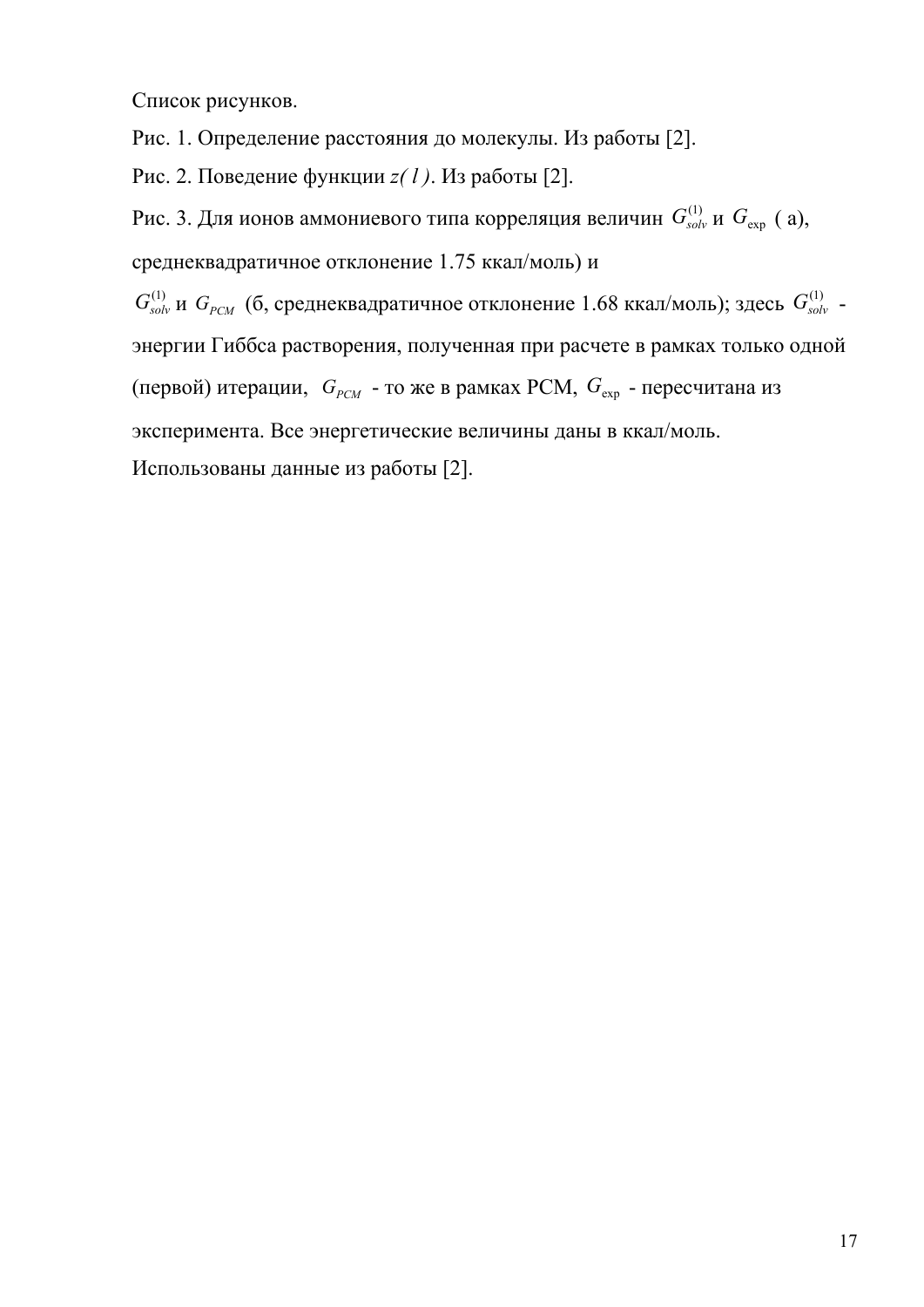Список рисунков.

Рис. 1. Определение расстояния до молекулы. Из работы [2].

Рис. 2. Поведение функции *z( l )*. Из работы [2].

Рис. 3. Для ионов аммониевого типа корреляция величин  $G_{solv}^{(1)}$  и  $G_{exp}$  ( a), среднеквадратичное отклонение 1.75 ккал/моль) и

 $G_{solv}^{(1)}$  и  $G_{pCM}$  (б, среднеквадратичное отклонение 1.68 ккал/моль); здесь  $G_{solv}^{(1)}$  энергии Гиббса растворения, полученная при расчете в рамках только одной (первой) итерации,  $G_{\text{PCM}}$  - то же в рамках PCM,  $G_{\text{exp}}$  - пересчитана из эксперимента. Все энергетические величины даны в ккал/моль. Использованы данные из работы [2].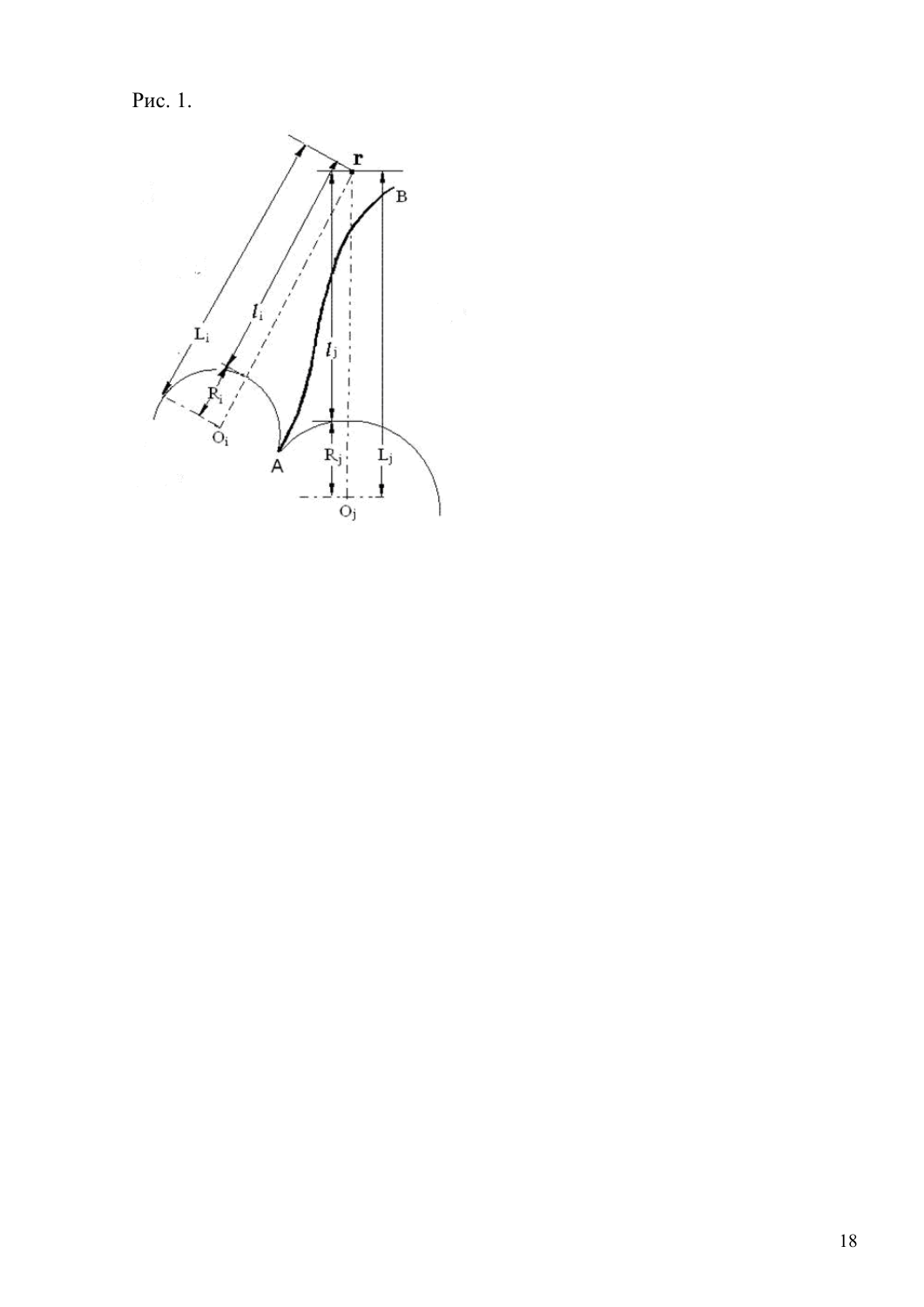Рис. 1.

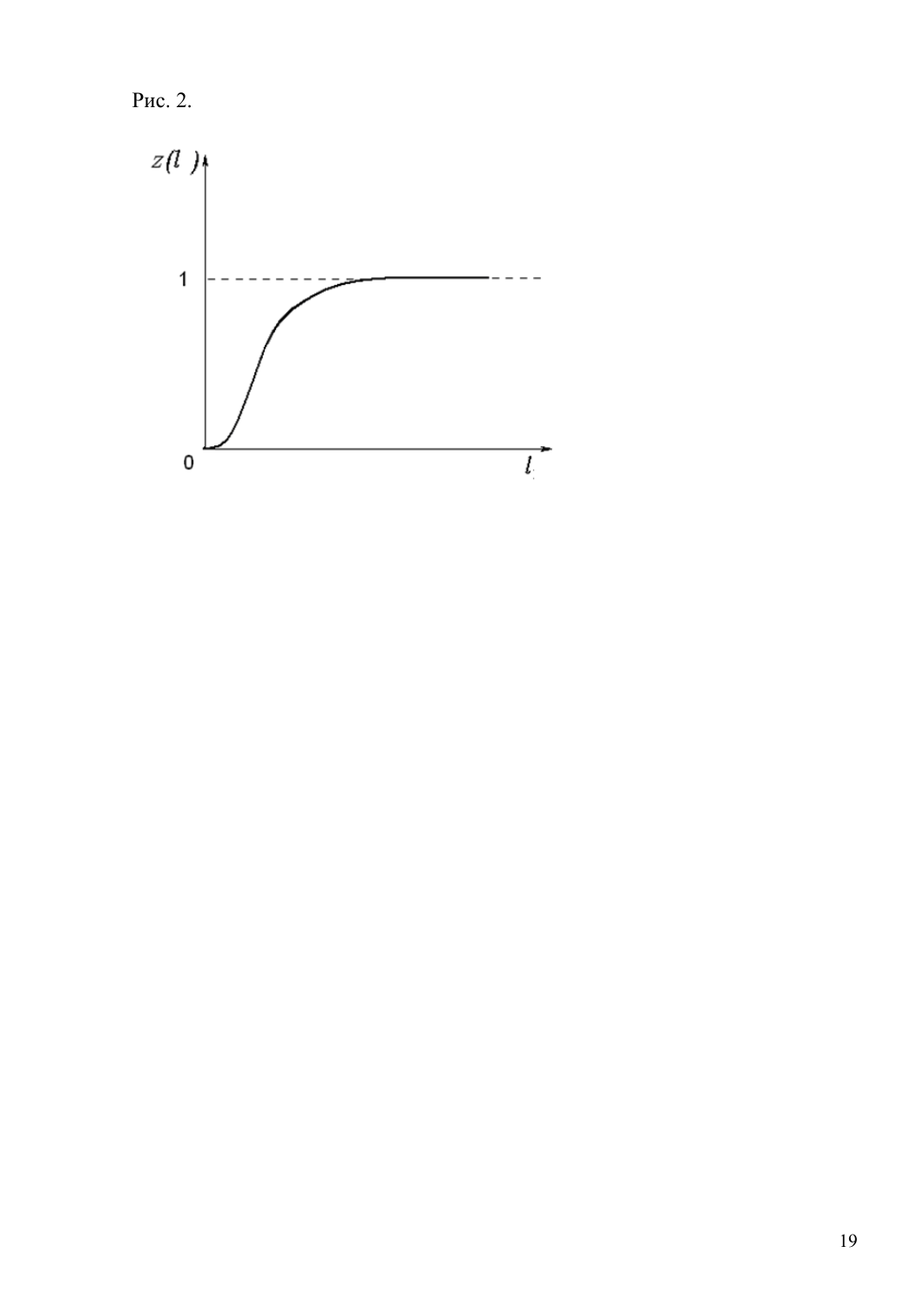